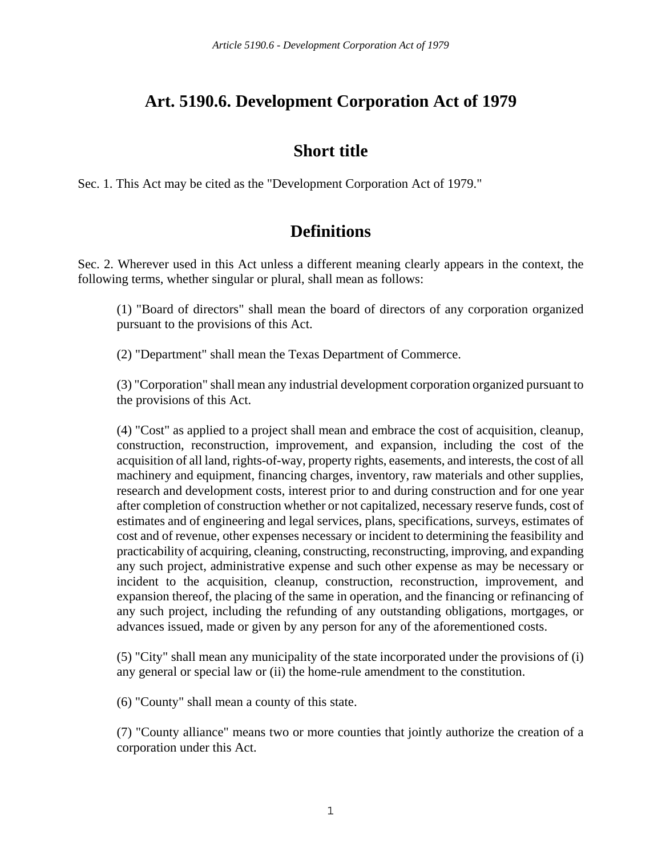## **Art. 5190.6. Development Corporation Act of 1979**

### **Short title**

Sec. 1. This Act may be cited as the "Development Corporation Act of 1979."

## **Definitions**

Sec. 2. Wherever used in this Act unless a different meaning clearly appears in the context, the following terms, whether singular or plural, shall mean as follows:

(1) "Board of directors" shall mean the board of directors of any corporation organized pursuant to the provisions of this Act.

(2) "Department" shall mean the Texas Department of Commerce.

(3) "Corporation" shall mean any industrial development corporation organized pursuant to the provisions of this Act.

(4) "Cost" as applied to a project shall mean and embrace the cost of acquisition, cleanup, construction, reconstruction, improvement, and expansion, including the cost of the acquisition of all land, rights-of-way, property rights, easements, and interests, the cost of all machinery and equipment, financing charges, inventory, raw materials and other supplies, research and development costs, interest prior to and during construction and for one year after completion of construction whether or not capitalized, necessary reserve funds, cost of estimates and of engineering and legal services, plans, specifications, surveys, estimates of cost and of revenue, other expenses necessary or incident to determining the feasibility and practicability of acquiring, cleaning, constructing, reconstructing, improving, and expanding any such project, administrative expense and such other expense as may be necessary or incident to the acquisition, cleanup, construction, reconstruction, improvement, and expansion thereof, the placing of the same in operation, and the financing or refinancing of any such project, including the refunding of any outstanding obligations, mortgages, or advances issued, made or given by any person for any of the aforementioned costs.

(5) "City" shall mean any municipality of the state incorporated under the provisions of (i) any general or special law or (ii) the home-rule amendment to the constitution.

(6) "County" shall mean a county of this state.

(7) "County alliance" means two or more counties that jointly authorize the creation of a corporation under this Act.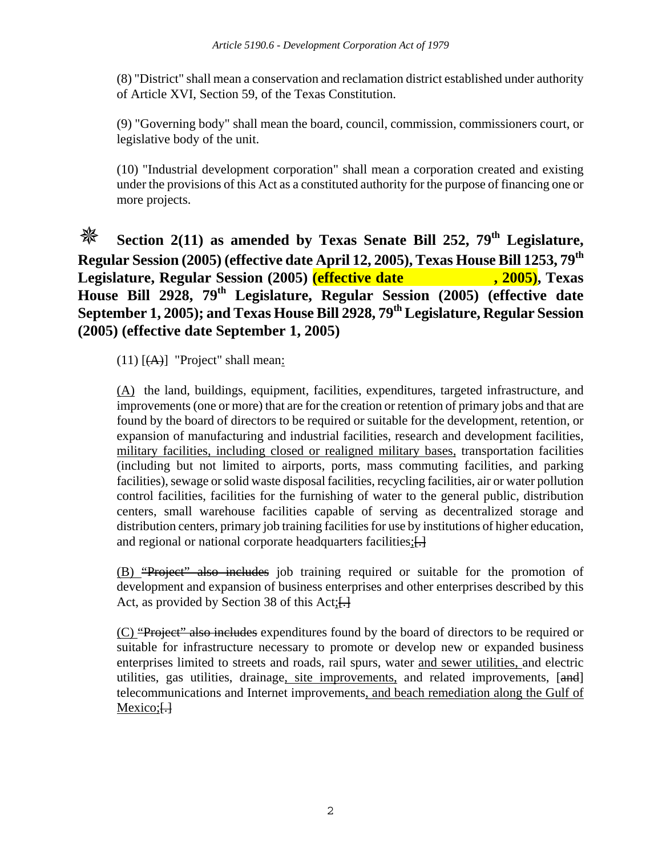(8) "District" shall mean a conservation and reclamation district established under authority of Article XVI, Section 59, of the Texas Constitution.

(9) "Governing body" shall mean the board, council, commission, commissioners court, or legislative body of the unit.

(10) "Industrial development corporation" shall mean a corporation created and existing under the provisions of this Act as a constituted authority for the purpose of financing one or more projects.

### **Section 2(11) as amended by Texas Senate Bill 252, 79th Legislature,**  Regular Session (2005) (effective date April 12, 2005), Texas House Bill 1253, 79<sup>th</sup><br>Legislature, Regular Session (2005) (effective date , 2005), Texas **Legislature, Regular Session (2005) (effective date House Bill 2928, 79th Legislature, Regular Session (2005) (effective date September 1, 2005); and Texas House Bill 2928, 79th Legislature, Regular Session (2005) (effective date September 1, 2005)**

 $(11)$  [ $(A)$ ] "Project" shall mean:

(A) the land, buildings, equipment, facilities, expenditures, targeted infrastructure, and improvements (one or more) that are for the creation or retention of primary jobs and that are found by the board of directors to be required or suitable for the development, retention, or expansion of manufacturing and industrial facilities, research and development facilities, military facilities, including closed or realigned military bases, transportation facilities (including but not limited to airports, ports, mass commuting facilities, and parking facilities), sewage or solid waste disposal facilities, recycling facilities, air or water pollution control facilities, facilities for the furnishing of water to the general public, distribution centers, small warehouse facilities capable of serving as decentralized storage and distribution centers, primary job training facilities for use by institutions of higher education, and regional or national corporate headquarters facilities; [...]

(B) "Project" also includes job training required or suitable for the promotion of development and expansion of business enterprises and other enterprises described by this Act, as provided by Section 38 of this Act; [...]

(C) "Project" also includes expenditures found by the board of directors to be required or suitable for infrastructure necessary to promote or develop new or expanded business enterprises limited to streets and roads, rail spurs, water and sewer utilities, and electric utilities, gas utilities, drainage, site improvements, and related improvements, [and] telecommunications and Internet improvements, and beach remediation along the Gulf of  $Mexico; H$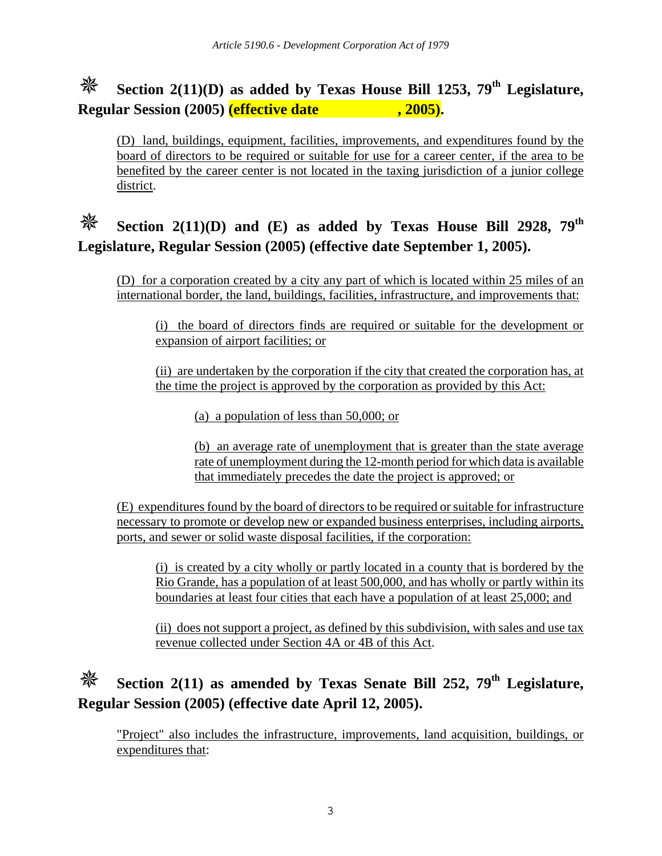# **Section 2(11)(D) as added by Texas House Bill 1253, 79<sup>th</sup> Legislature, Regular Session (2005)** (*effective date* , 2005).

(D) land, buildings, equipment, facilities, improvements, and expenditures found by the board of directors to be required or suitable for use for a career center, if the area to be benefited by the career center is not located in the taxing jurisdiction of a junior college district.

# **Section 2(11)(D) and (E) as added by Texas House Bill 2928, 79th Legislature, Regular Session (2005) (effective date September 1, 2005).**

(D) for a corporation created by a city any part of which is located within 25 miles of an international border, the land, buildings, facilities, infrastructure, and improvements that:

(i) the board of directors finds are required or suitable for the development or expansion of airport facilities; or

(ii) are undertaken by the corporation if the city that created the corporation has, at the time the project is approved by the corporation as provided by this Act:

(a) a population of less than 50,000; or

(b) an average rate of unemployment that is greater than the state average rate of unemployment during the 12-month period for which data is available that immediately precedes the date the project is approved; or

(E) expenditures found by the board of directors to be required or suitable for infrastructure necessary to promote or develop new or expanded business enterprises, including airports, ports, and sewer or solid waste disposal facilities, if the corporation:

(i) is created by a city wholly or partly located in a county that is bordered by the Rio Grande, has a population of at least 500,000, and has wholly or partly within its boundaries at least four cities that each have a population of at least 25,000; and

(ii) does not support a project, as defined by this subdivision, with sales and use tax revenue collected under Section 4A or 4B of this Act.

# **Section 2(11) as amended by Texas Senate Bill 252, 79th Legislature, Regular Session (2005) (effective date April 12, 2005).**

"Project" also includes the infrastructure, improvements, land acquisition, buildings, or expenditures that: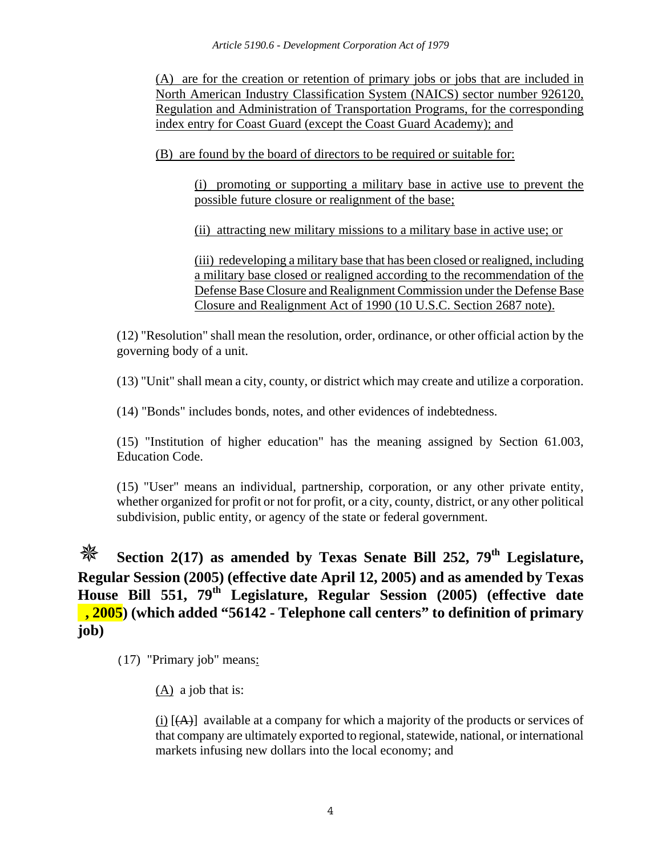(A) are for the creation or retention of primary jobs or jobs that are included in North American Industry Classification System (NAICS) sector number 926120, Regulation and Administration of Transportation Programs, for the corresponding index entry for Coast Guard (except the Coast Guard Academy); and

(B) are found by the board of directors to be required or suitable for:

(i) promoting or supporting a military base in active use to prevent the possible future closure or realignment of the base;

(ii) attracting new military missions to a military base in active use; or

(iii) redeveloping a military base that has been closed or realigned, including a military base closed or realigned according to the recommendation of the Defense Base Closure and Realignment Commission under the Defense Base Closure and Realignment Act of 1990 (10 U.S.C. Section 2687 note).

(12) "Resolution" shall mean the resolution, order, ordinance, or other official action by the governing body of a unit.

(13) "Unit" shall mean a city, county, or district which may create and utilize a corporation.

(14) "Bonds" includes bonds, notes, and other evidences of indebtedness.

(15) "Institution of higher education" has the meaning assigned by Section 61.003, Education Code.

(15) "User" means an individual, partnership, corporation, or any other private entity, whether organized for profit or not for profit, or a city, county, district, or any other political subdivision, public entity, or agency of the state or federal government.

**Section 2(17) as amended by Texas Senate Bill 252, 79<sup>th</sup> Legislature, Regular Session (2005) (effective date April 12, 2005) and as amended by Texas House Bill 551, 79th Legislature, Regular Session (2005) (effective date , 2005) (which added "56142 - Telephone call centers" to definition of primary job)** 

(17) "Primary job" means:

(A) a job that is:

(i)  $[(A)]$  available at a company for which a majority of the products or services of that company are ultimately exported to regional, statewide, national, or international markets infusing new dollars into the local economy; and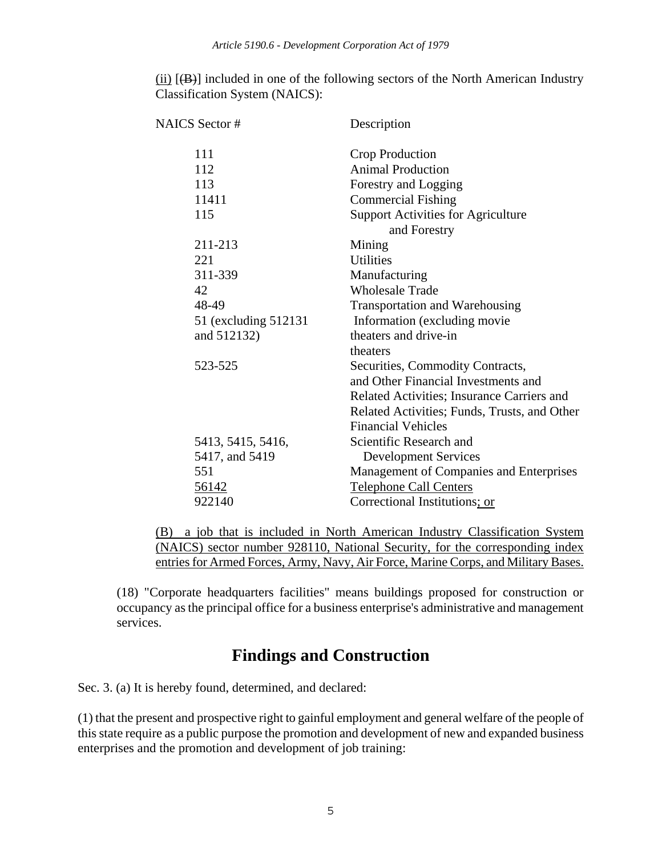(ii)  $[\langle B \rangle]$  included in one of the following sectors of the North American Industry Classification System (NAICS):

| <b>NAICS</b> Sector # | Description                                  |
|-----------------------|----------------------------------------------|
| 111                   | Crop Production                              |
| 112                   | <b>Animal Production</b>                     |
| 113                   | Forestry and Logging                         |
| 11411                 | <b>Commercial Fishing</b>                    |
| 115                   | <b>Support Activities for Agriculture</b>    |
|                       | and Forestry                                 |
| 211-213               | Mining                                       |
| 221                   | <b>Utilities</b>                             |
| 311-339               | Manufacturing                                |
| 42                    | <b>Wholesale Trade</b>                       |
| 48-49                 | <b>Transportation and Warehousing</b>        |
| 51 (excluding 512131) | Information (excluding movie                 |
| and 512132)           | theaters and drive-in                        |
|                       | theaters                                     |
| 523-525               | Securities, Commodity Contracts,             |
|                       | and Other Financial Investments and          |
|                       | Related Activities; Insurance Carriers and   |
|                       | Related Activities; Funds, Trusts, and Other |
|                       | <b>Financial Vehicles</b>                    |
| 5413, 5415, 5416,     | Scientific Research and                      |
| 5417, and 5419        | <b>Development Services</b>                  |
| 551                   | Management of Companies and Enterprises      |
| 56142                 | <b>Telephone Call Centers</b>                |
| 922140                | Correctional Institutions; or                |
|                       |                                              |

(B) a job that is included in North American Industry Classification System (NAICS) sector number 928110, National Security, for the corresponding index entries for Armed Forces, Army, Navy, Air Force, Marine Corps, and Military Bases.

(18) "Corporate headquarters facilities" means buildings proposed for construction or occupancy as the principal office for a business enterprise's administrative and management services.

### **Findings and Construction**

Sec. 3. (a) It is hereby found, determined, and declared:

(1) that the present and prospective right to gainful employment and general welfare of the people of this state require as a public purpose the promotion and development of new and expanded business enterprises and the promotion and development of job training: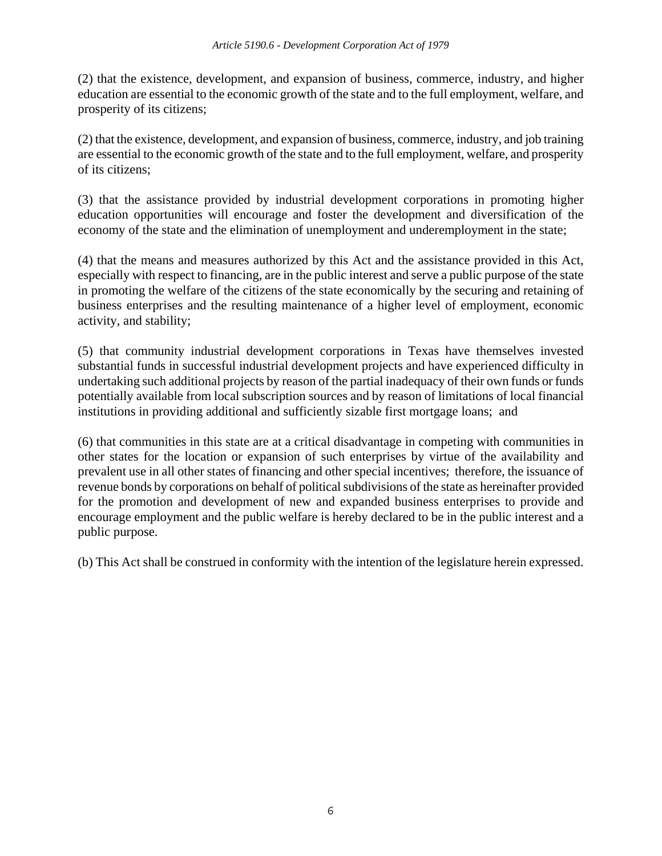(2) that the existence, development, and expansion of business, commerce, industry, and higher education are essential to the economic growth of the state and to the full employment, welfare, and prosperity of its citizens;

(2) that the existence, development, and expansion of business, commerce, industry, and job training are essential to the economic growth of the state and to the full employment, welfare, and prosperity of its citizens;

(3) that the assistance provided by industrial development corporations in promoting higher education opportunities will encourage and foster the development and diversification of the economy of the state and the elimination of unemployment and underemployment in the state;

(4) that the means and measures authorized by this Act and the assistance provided in this Act, especially with respect to financing, are in the public interest and serve a public purpose of the state in promoting the welfare of the citizens of the state economically by the securing and retaining of business enterprises and the resulting maintenance of a higher level of employment, economic activity, and stability;

(5) that community industrial development corporations in Texas have themselves invested substantial funds in successful industrial development projects and have experienced difficulty in undertaking such additional projects by reason of the partial inadequacy of their own funds or funds potentially available from local subscription sources and by reason of limitations of local financial institutions in providing additional and sufficiently sizable first mortgage loans; and

(6) that communities in this state are at a critical disadvantage in competing with communities in other states for the location or expansion of such enterprises by virtue of the availability and prevalent use in all other states of financing and other special incentives; therefore, the issuance of revenue bonds by corporations on behalf of political subdivisions of the state as hereinafter provided for the promotion and development of new and expanded business enterprises to provide and encourage employment and the public welfare is hereby declared to be in the public interest and a public purpose.

(b) This Act shall be construed in conformity with the intention of the legislature herein expressed.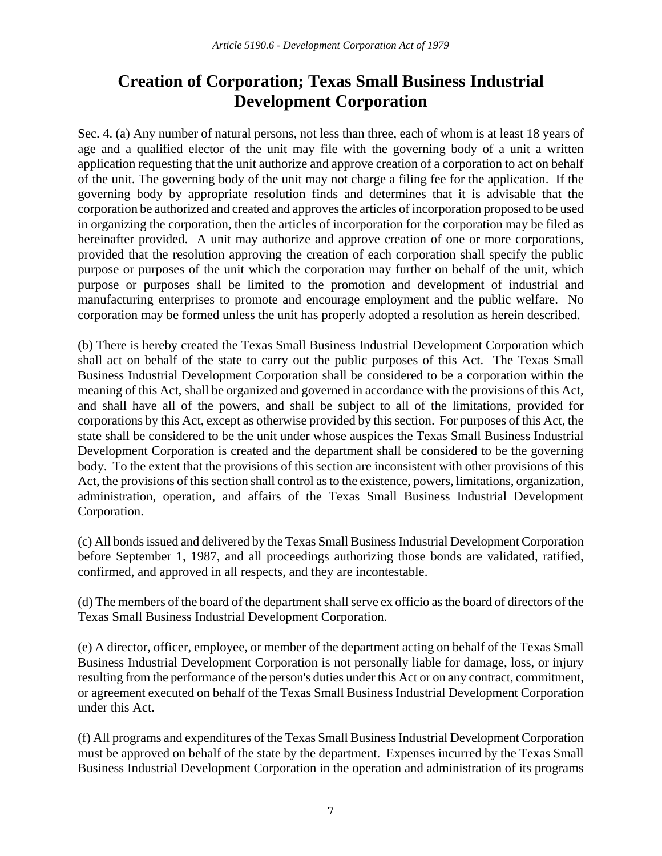# **Creation of Corporation; Texas Small Business Industrial Development Corporation**

Sec. 4. (a) Any number of natural persons, not less than three, each of whom is at least 18 years of age and a qualified elector of the unit may file with the governing body of a unit a written application requesting that the unit authorize and approve creation of a corporation to act on behalf of the unit. The governing body of the unit may not charge a filing fee for the application. If the governing body by appropriate resolution finds and determines that it is advisable that the corporation be authorized and created and approves the articles of incorporation proposed to be used in organizing the corporation, then the articles of incorporation for the corporation may be filed as hereinafter provided. A unit may authorize and approve creation of one or more corporations, provided that the resolution approving the creation of each corporation shall specify the public purpose or purposes of the unit which the corporation may further on behalf of the unit, which purpose or purposes shall be limited to the promotion and development of industrial and manufacturing enterprises to promote and encourage employment and the public welfare. No corporation may be formed unless the unit has properly adopted a resolution as herein described.

(b) There is hereby created the Texas Small Business Industrial Development Corporation which shall act on behalf of the state to carry out the public purposes of this Act. The Texas Small Business Industrial Development Corporation shall be considered to be a corporation within the meaning of this Act, shall be organized and governed in accordance with the provisions of this Act, and shall have all of the powers, and shall be subject to all of the limitations, provided for corporations by this Act, except as otherwise provided by this section. For purposes of this Act, the state shall be considered to be the unit under whose auspices the Texas Small Business Industrial Development Corporation is created and the department shall be considered to be the governing body. To the extent that the provisions of this section are inconsistent with other provisions of this Act, the provisions of this section shall control as to the existence, powers, limitations, organization, administration, operation, and affairs of the Texas Small Business Industrial Development Corporation.

(c) All bonds issued and delivered by the Texas Small Business Industrial Development Corporation before September 1, 1987, and all proceedings authorizing those bonds are validated, ratified, confirmed, and approved in all respects, and they are incontestable.

(d) The members of the board of the department shall serve ex officio as the board of directors of the Texas Small Business Industrial Development Corporation.

(e) A director, officer, employee, or member of the department acting on behalf of the Texas Small Business Industrial Development Corporation is not personally liable for damage, loss, or injury resulting from the performance of the person's duties under this Act or on any contract, commitment, or agreement executed on behalf of the Texas Small Business Industrial Development Corporation under this Act.

(f) All programs and expenditures of the Texas Small Business Industrial Development Corporation must be approved on behalf of the state by the department. Expenses incurred by the Texas Small Business Industrial Development Corporation in the operation and administration of its programs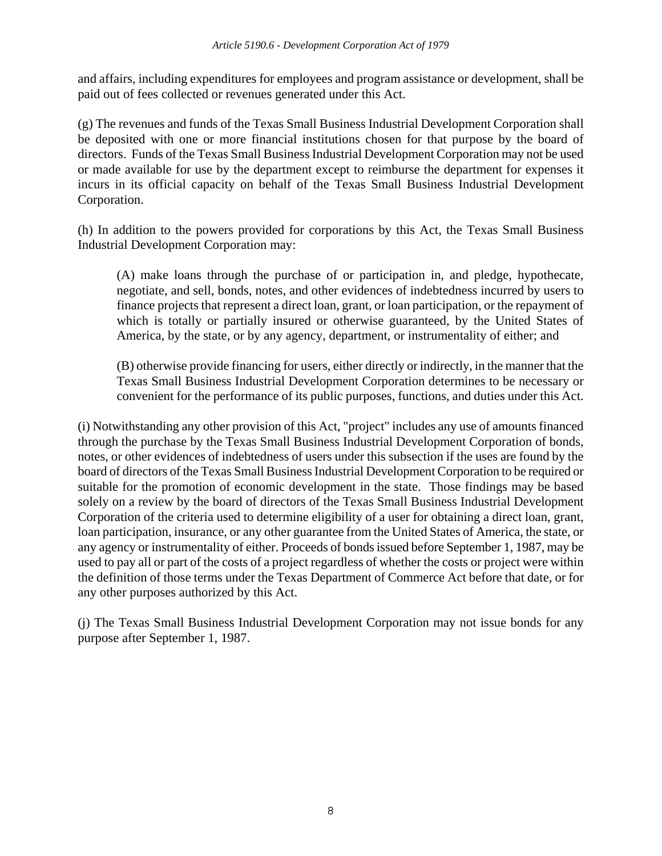and affairs, including expenditures for employees and program assistance or development, shall be paid out of fees collected or revenues generated under this Act.

(g) The revenues and funds of the Texas Small Business Industrial Development Corporation shall be deposited with one or more financial institutions chosen for that purpose by the board of directors. Funds of the Texas Small Business Industrial Development Corporation may not be used or made available for use by the department except to reimburse the department for expenses it incurs in its official capacity on behalf of the Texas Small Business Industrial Development Corporation.

(h) In addition to the powers provided for corporations by this Act, the Texas Small Business Industrial Development Corporation may:

(A) make loans through the purchase of or participation in, and pledge, hypothecate, negotiate, and sell, bonds, notes, and other evidences of indebtedness incurred by users to finance projects that represent a direct loan, grant, or loan participation, or the repayment of which is totally or partially insured or otherwise guaranteed, by the United States of America, by the state, or by any agency, department, or instrumentality of either; and

(B) otherwise provide financing for users, either directly or indirectly, in the manner that the Texas Small Business Industrial Development Corporation determines to be necessary or convenient for the performance of its public purposes, functions, and duties under this Act.

(i) Notwithstanding any other provision of this Act, "project" includes any use of amounts financed through the purchase by the Texas Small Business Industrial Development Corporation of bonds, notes, or other evidences of indebtedness of users under this subsection if the uses are found by the board of directors of the Texas Small Business Industrial Development Corporation to be required or suitable for the promotion of economic development in the state. Those findings may be based solely on a review by the board of directors of the Texas Small Business Industrial Development Corporation of the criteria used to determine eligibility of a user for obtaining a direct loan, grant, loan participation, insurance, or any other guarantee from the United States of America, the state, or any agency or instrumentality of either. Proceeds of bonds issued before September 1, 1987, may be used to pay all or part of the costs of a project regardless of whether the costs or project were within the definition of those terms under the Texas Department of Commerce Act before that date, or for any other purposes authorized by this Act.

(j) The Texas Small Business Industrial Development Corporation may not issue bonds for any purpose after September 1, 1987.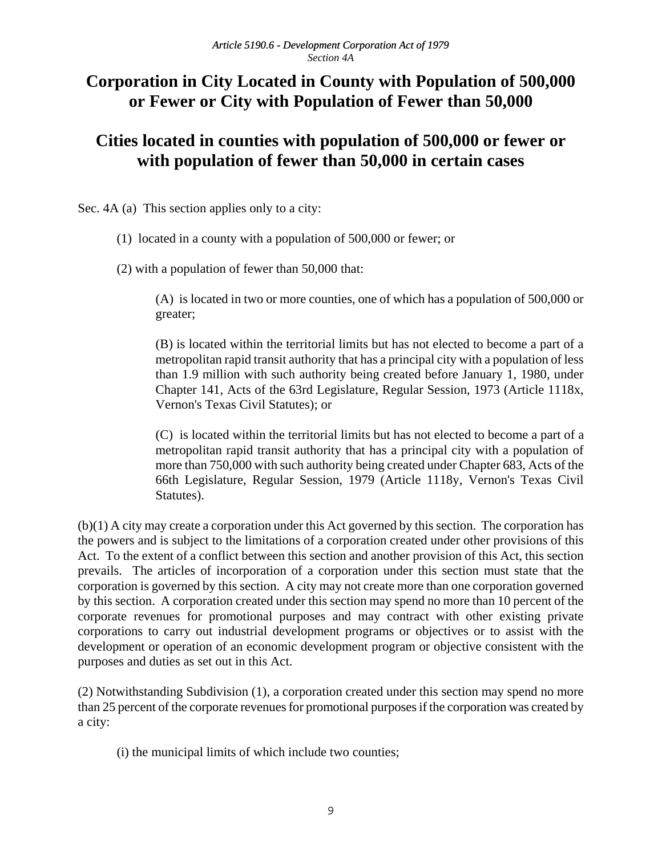## **Corporation in City Located in County with Population of 500,000 or Fewer or City with Population of Fewer than 50,000**

## **Cities located in counties with population of 500,000 or fewer or with population of fewer than 50,000 in certain cases**

Sec. 4A (a) This section applies only to a city:

(1) located in a county with a population of 500,000 or fewer; or

(2) with a population of fewer than 50,000 that:

(A) is located in two or more counties, one of which has a population of 500,000 or greater;

(B) is located within the territorial limits but has not elected to become a part of a metropolitan rapid transit authority that has a principal city with a population of less than 1.9 million with such authority being created before January 1, 1980, under Chapter 141, Acts of the 63rd Legislature, Regular Session, 1973 (Article 1118x, Vernon's Texas Civil Statutes); or

(C) is located within the territorial limits but has not elected to become a part of a metropolitan rapid transit authority that has a principal city with a population of more than 750,000 with such authority being created under Chapter 683, Acts of the 66th Legislature, Regular Session, 1979 (Article 1118y, Vernon's Texas Civil Statutes).

(b)(1) A city may create a corporation under this Act governed by this section. The corporation has the powers and is subject to the limitations of a corporation created under other provisions of this Act. To the extent of a conflict between this section and another provision of this Act, this section prevails. The articles of incorporation of a corporation under this section must state that the corporation is governed by this section. A city may not create more than one corporation governed by this section. A corporation created under this section may spend no more than 10 percent of the corporate revenues for promotional purposes and may contract with other existing private corporations to carry out industrial development programs or objectives or to assist with the development or operation of an economic development program or objective consistent with the purposes and duties as set out in this Act.

(2) Notwithstanding Subdivision (1), a corporation created under this section may spend no more than 25 percent of the corporate revenues for promotional purposes if the corporation was created by a city:

(i) the municipal limits of which include two counties;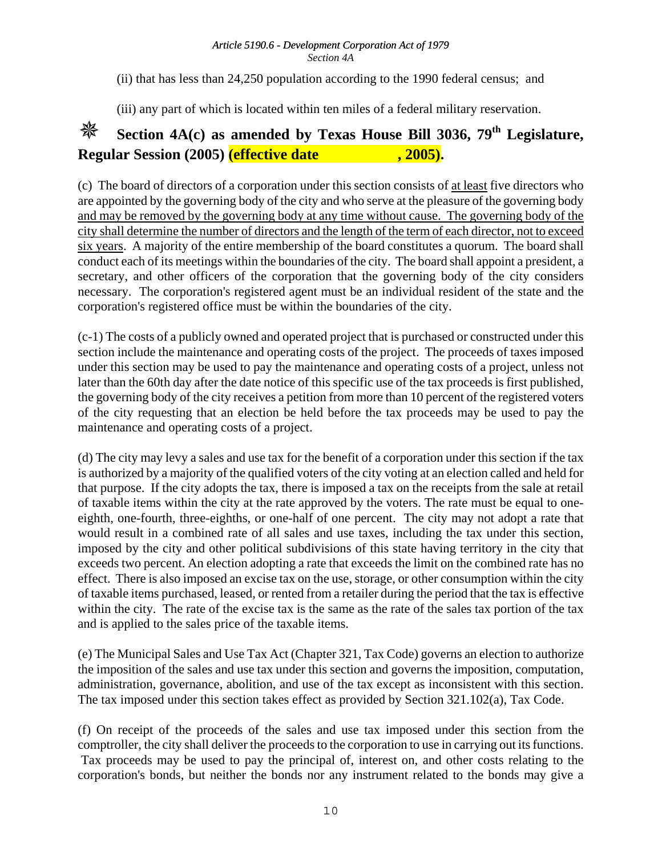(ii) that has less than 24,250 population according to the 1990 federal census; and

(iii) any part of which is located within ten miles of a federal military reservation.

# **Section 4A(c) as amended by Texas House Bill 3036, 79<sup>th</sup> Legislature, Regular Session (2005)** (*effective date* , 2005).

(c) The board of directors of a corporation under this section consists of at least five directors who are appointed by the governing body of the city and who serve at the pleasure of the governing body and may be removed by the governing body at any time without cause. The governing body of the city shall determine the number of directors and the length of the term of each director, not to exceed six years. A majority of the entire membership of the board constitutes a quorum. The board shall conduct each of its meetings within the boundaries of the city. The board shall appoint a president, a secretary, and other officers of the corporation that the governing body of the city considers necessary. The corporation's registered agent must be an individual resident of the state and the corporation's registered office must be within the boundaries of the city.

(c-1) The costs of a publicly owned and operated project that is purchased or constructed under this section include the maintenance and operating costs of the project. The proceeds of taxes imposed under this section may be used to pay the maintenance and operating costs of a project, unless not later than the 60th day after the date notice of this specific use of the tax proceeds is first published, the governing body of the city receives a petition from more than 10 percent of the registered voters of the city requesting that an election be held before the tax proceeds may be used to pay the maintenance and operating costs of a project.

(d) The city may levy a sales and use tax for the benefit of a corporation under this section if the tax is authorized by a majority of the qualified voters of the city voting at an election called and held for that purpose. If the city adopts the tax, there is imposed a tax on the receipts from the sale at retail of taxable items within the city at the rate approved by the voters. The rate must be equal to oneeighth, one-fourth, three-eighths, or one-half of one percent. The city may not adopt a rate that would result in a combined rate of all sales and use taxes, including the tax under this section, imposed by the city and other political subdivisions of this state having territory in the city that exceeds two percent. An election adopting a rate that exceeds the limit on the combined rate has no effect. There is also imposed an excise tax on the use, storage, or other consumption within the city of taxable items purchased, leased, or rented from a retailer during the period that the tax is effective within the city. The rate of the excise tax is the same as the rate of the sales tax portion of the tax and is applied to the sales price of the taxable items.

(e) The Municipal Sales and Use Tax Act (Chapter 321, Tax Code) governs an election to authorize the imposition of the sales and use tax under this section and governs the imposition, computation, administration, governance, abolition, and use of the tax except as inconsistent with this section. The tax imposed under this section takes effect as provided by Section 321.102(a), Tax Code.

(f) On receipt of the proceeds of the sales and use tax imposed under this section from the comptroller, the city shall deliver the proceeds to the corporation to use in carrying out its functions. Tax proceeds may be used to pay the principal of, interest on, and other costs relating to the corporation's bonds, but neither the bonds nor any instrument related to the bonds may give a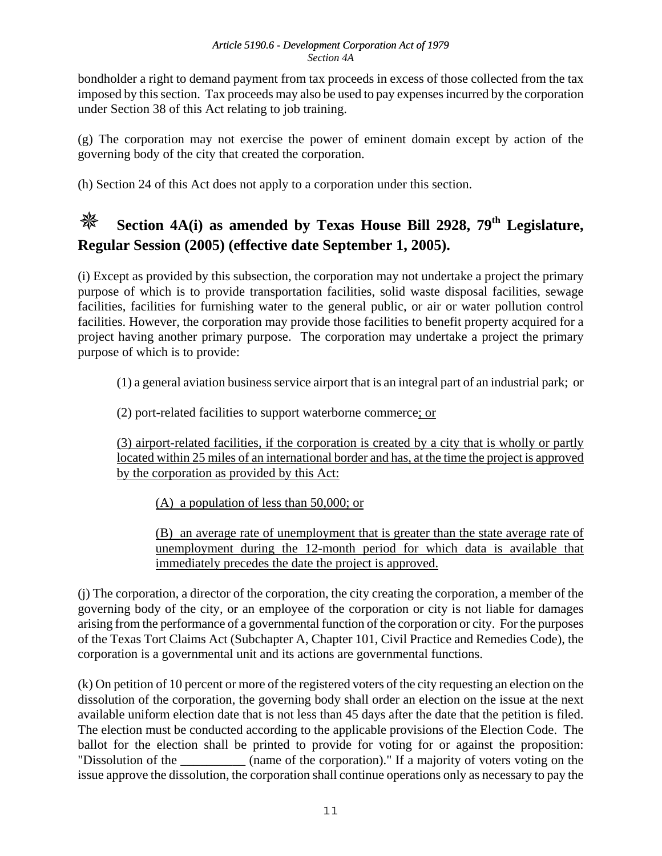bondholder a right to demand payment from tax proceeds in excess of those collected from the tax imposed by this section. Tax proceeds may also be used to pay expenses incurred by the corporation under Section 38 of this Act relating to job training.

(g) The corporation may not exercise the power of eminent domain except by action of the governing body of the city that created the corporation.

(h) Section 24 of this Act does not apply to a corporation under this section.

# **Section 4A(i) as amended by Texas House Bill 2928, 79<sup>th</sup> Legislature, Regular Session (2005) (effective date September 1, 2005).**

(i) Except as provided by this subsection, the corporation may not undertake a project the primary purpose of which is to provide transportation facilities, solid waste disposal facilities, sewage facilities, facilities for furnishing water to the general public, or air or water pollution control facilities. However, the corporation may provide those facilities to benefit property acquired for a project having another primary purpose. The corporation may undertake a project the primary purpose of which is to provide:

(1) a general aviation business service airport that is an integral part of an industrial park; or

(2) port-related facilities to support waterborne commerce; or

(3) airport-related facilities, if the corporation is created by a city that is wholly or partly located within 25 miles of an international border and has, at the time the project is approved by the corporation as provided by this Act:

(A) a population of less than 50,000; or

(B) an average rate of unemployment that is greater than the state average rate of unemployment during the 12-month period for which data is available that immediately precedes the date the project is approved.

(j) The corporation, a director of the corporation, the city creating the corporation, a member of the governing body of the city, or an employee of the corporation or city is not liable for damages arising from the performance of a governmental function of the corporation or city. For the purposes of the Texas Tort Claims Act (Subchapter A, Chapter 101, Civil Practice and Remedies Code), the corporation is a governmental unit and its actions are governmental functions.

(k) On petition of 10 percent or more of the registered voters of the city requesting an election on the dissolution of the corporation, the governing body shall order an election on the issue at the next available uniform election date that is not less than 45 days after the date that the petition is filed. The election must be conducted according to the applicable provisions of the Election Code. The ballot for the election shall be printed to provide for voting for or against the proposition: "Dissolution of the \_\_\_\_\_\_\_\_\_\_ (name of the corporation)." If a majority of voters voting on the issue approve the dissolution, the corporation shall continue operations only as necessary to pay the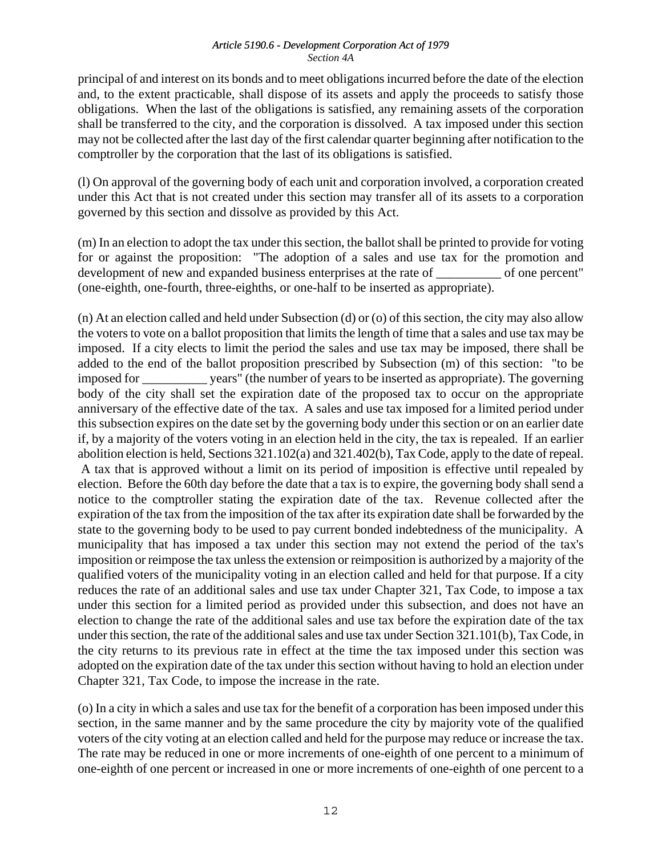principal of and interest on its bonds and to meet obligations incurred before the date of the election and, to the extent practicable, shall dispose of its assets and apply the proceeds to satisfy those obligations. When the last of the obligations is satisfied, any remaining assets of the corporation shall be transferred to the city, and the corporation is dissolved. A tax imposed under this section may not be collected after the last day of the first calendar quarter beginning after notification to the comptroller by the corporation that the last of its obligations is satisfied.

(l) On approval of the governing body of each unit and corporation involved, a corporation created under this Act that is not created under this section may transfer all of its assets to a corporation governed by this section and dissolve as provided by this Act.

(m) In an election to adopt the tax under this section, the ballot shall be printed to provide for voting for or against the proposition: "The adoption of a sales and use tax for the promotion and development of new and expanded business enterprises at the rate of \_\_\_\_\_\_\_\_\_\_ of one percent" (one-eighth, one-fourth, three-eighths, or one-half to be inserted as appropriate).

(n) At an election called and held under Subsection (d) or (o) of this section, the city may also allow the voters to vote on a ballot proposition that limits the length of time that a sales and use tax may be imposed. If a city elects to limit the period the sales and use tax may be imposed, there shall be added to the end of the ballot proposition prescribed by Subsection (m) of this section: "to be imposed for \_\_\_\_\_\_\_\_\_\_ years" (the number of years to be inserted as appropriate). The governing body of the city shall set the expiration date of the proposed tax to occur on the appropriate anniversary of the effective date of the tax. A sales and use tax imposed for a limited period under this subsection expires on the date set by the governing body under this section or on an earlier date if, by a majority of the voters voting in an election held in the city, the tax is repealed. If an earlier abolition election is held, Sections 321.102(a) and 321.402(b), Tax Code, apply to the date of repeal. A tax that is approved without a limit on its period of imposition is effective until repealed by election. Before the 60th day before the date that a tax is to expire, the governing body shall send a notice to the comptroller stating the expiration date of the tax. Revenue collected after the expiration of the tax from the imposition of the tax after its expiration date shall be forwarded by the state to the governing body to be used to pay current bonded indebtedness of the municipality. A municipality that has imposed a tax under this section may not extend the period of the tax's imposition or reimpose the tax unless the extension or reimposition is authorized by a majority of the qualified voters of the municipality voting in an election called and held for that purpose. If a city reduces the rate of an additional sales and use tax under Chapter 321, Tax Code, to impose a tax under this section for a limited period as provided under this subsection, and does not have an election to change the rate of the additional sales and use tax before the expiration date of the tax under this section, the rate of the additional sales and use tax under Section 321.101(b), Tax Code, in the city returns to its previous rate in effect at the time the tax imposed under this section was adopted on the expiration date of the tax under this section without having to hold an election under Chapter 321, Tax Code, to impose the increase in the rate.

(o) In a city in which a sales and use tax for the benefit of a corporation has been imposed under this section, in the same manner and by the same procedure the city by majority vote of the qualified voters of the city voting at an election called and held for the purpose may reduce or increase the tax. The rate may be reduced in one or more increments of one-eighth of one percent to a minimum of one-eighth of one percent or increased in one or more increments of one-eighth of one percent to a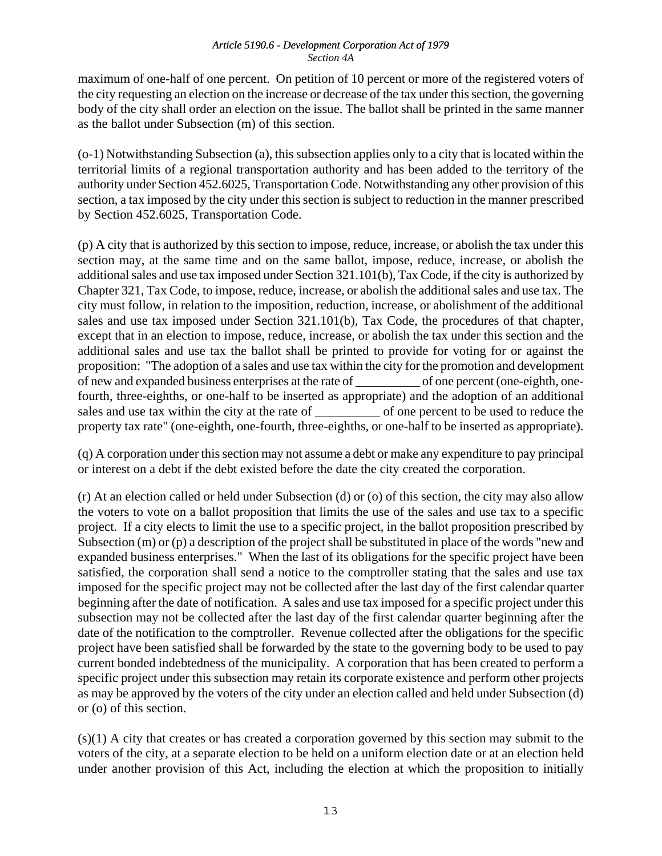maximum of one-half of one percent. On petition of 10 percent or more of the registered voters of the city requesting an election on the increase or decrease of the tax under this section, the governing body of the city shall order an election on the issue. The ballot shall be printed in the same manner as the ballot under Subsection (m) of this section.

(o-1) Notwithstanding Subsection (a), this subsection applies only to a city that is located within the territorial limits of a regional transportation authority and has been added to the territory of the authority under Section 452.6025, Transportation Code. Notwithstanding any other provision of this section, a tax imposed by the city under this section is subject to reduction in the manner prescribed by Section 452.6025, Transportation Code.

(p) A city that is authorized by this section to impose, reduce, increase, or abolish the tax under this section may, at the same time and on the same ballot, impose, reduce, increase, or abolish the additional sales and use tax imposed under Section 321.101(b), Tax Code, if the city is authorized by Chapter 321, Tax Code, to impose, reduce, increase, or abolish the additional sales and use tax. The city must follow, in relation to the imposition, reduction, increase, or abolishment of the additional sales and use tax imposed under Section 321.101(b), Tax Code, the procedures of that chapter, except that in an election to impose, reduce, increase, or abolish the tax under this section and the additional sales and use tax the ballot shall be printed to provide for voting for or against the proposition: "The adoption of a sales and use tax within the city for the promotion and development of new and expanded business enterprises at the rate of \_\_\_\_\_\_\_\_\_\_ of one percent (one-eighth, onefourth, three-eighths, or one-half to be inserted as appropriate) and the adoption of an additional sales and use tax within the city at the rate of \_\_\_\_\_\_\_\_\_\_\_\_ of one percent to be used to reduce the property tax rate" (one-eighth, one-fourth, three-eighths, or one-half to be inserted as appropriate).

(q) A corporation under this section may not assume a debt or make any expenditure to pay principal or interest on a debt if the debt existed before the date the city created the corporation.

(r) At an election called or held under Subsection (d) or (o) of this section, the city may also allow the voters to vote on a ballot proposition that limits the use of the sales and use tax to a specific project. If a city elects to limit the use to a specific project, in the ballot proposition prescribed by Subsection (m) or (p) a description of the project shall be substituted in place of the words "new and expanded business enterprises." When the last of its obligations for the specific project have been satisfied, the corporation shall send a notice to the comptroller stating that the sales and use tax imposed for the specific project may not be collected after the last day of the first calendar quarter beginning after the date of notification. A sales and use tax imposed for a specific project under this subsection may not be collected after the last day of the first calendar quarter beginning after the date of the notification to the comptroller. Revenue collected after the obligations for the specific project have been satisfied shall be forwarded by the state to the governing body to be used to pay current bonded indebtedness of the municipality. A corporation that has been created to perform a specific project under this subsection may retain its corporate existence and perform other projects as may be approved by the voters of the city under an election called and held under Subsection (d) or (o) of this section.

(s)(1) A city that creates or has created a corporation governed by this section may submit to the voters of the city, at a separate election to be held on a uniform election date or at an election held under another provision of this Act, including the election at which the proposition to initially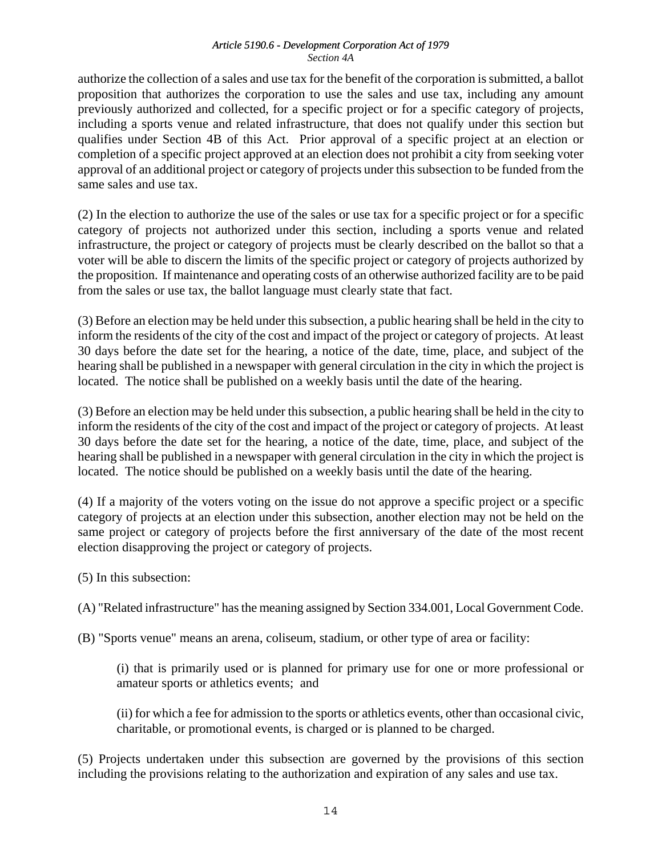authorize the collection of a sales and use tax for the benefit of the corporation is submitted, a ballot proposition that authorizes the corporation to use the sales and use tax, including any amount previously authorized and collected, for a specific project or for a specific category of projects, including a sports venue and related infrastructure, that does not qualify under this section but qualifies under Section 4B of this Act. Prior approval of a specific project at an election or completion of a specific project approved at an election does not prohibit a city from seeking voter approval of an additional project or category of projects under this subsection to be funded from the same sales and use tax.

(2) In the election to authorize the use of the sales or use tax for a specific project or for a specific category of projects not authorized under this section, including a sports venue and related infrastructure, the project or category of projects must be clearly described on the ballot so that a voter will be able to discern the limits of the specific project or category of projects authorized by the proposition. If maintenance and operating costs of an otherwise authorized facility are to be paid from the sales or use tax, the ballot language must clearly state that fact.

(3) Before an election may be held under this subsection, a public hearing shall be held in the city to inform the residents of the city of the cost and impact of the project or category of projects. At least 30 days before the date set for the hearing, a notice of the date, time, place, and subject of the hearing shall be published in a newspaper with general circulation in the city in which the project is located. The notice shall be published on a weekly basis until the date of the hearing.

(3) Before an election may be held under this subsection, a public hearing shall be held in the city to inform the residents of the city of the cost and impact of the project or category of projects. At least 30 days before the date set for the hearing, a notice of the date, time, place, and subject of the hearing shall be published in a newspaper with general circulation in the city in which the project is located. The notice should be published on a weekly basis until the date of the hearing.

(4) If a majority of the voters voting on the issue do not approve a specific project or a specific category of projects at an election under this subsection, another election may not be held on the same project or category of projects before the first anniversary of the date of the most recent election disapproving the project or category of projects.

(5) In this subsection:

(A) "Related infrastructure" has the meaning assigned by Section 334.001, Local Government Code.

(B) "Sports venue" means an arena, coliseum, stadium, or other type of area or facility:

(i) that is primarily used or is planned for primary use for one or more professional or amateur sports or athletics events; and

(ii) for which a fee for admission to the sports or athletics events, other than occasional civic, charitable, or promotional events, is charged or is planned to be charged.

(5) Projects undertaken under this subsection are governed by the provisions of this section including the provisions relating to the authorization and expiration of any sales and use tax.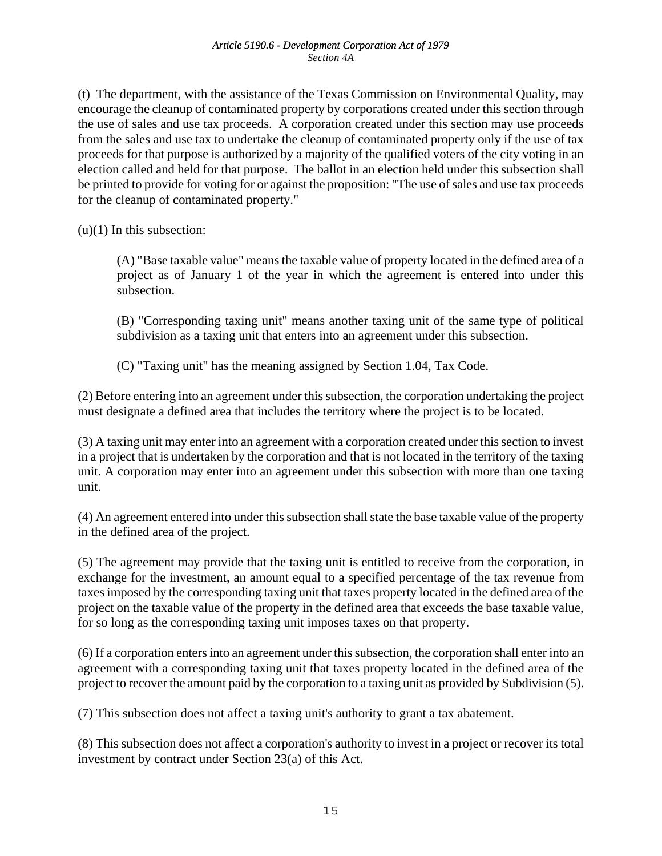(t) The department, with the assistance of the Texas Commission on Environmental Quality, may encourage the cleanup of contaminated property by corporations created under this section through the use of sales and use tax proceeds. A corporation created under this section may use proceeds from the sales and use tax to undertake the cleanup of contaminated property only if the use of tax proceeds for that purpose is authorized by a majority of the qualified voters of the city voting in an election called and held for that purpose. The ballot in an election held under this subsection shall be printed to provide for voting for or against the proposition: "The use of sales and use tax proceeds for the cleanup of contaminated property."

 $(u)(1)$  In this subsection:

(A) "Base taxable value" means the taxable value of property located in the defined area of a project as of January 1 of the year in which the agreement is entered into under this subsection.

(B) "Corresponding taxing unit" means another taxing unit of the same type of political subdivision as a taxing unit that enters into an agreement under this subsection.

(C) "Taxing unit" has the meaning assigned by Section 1.04, Tax Code.

(2) Before entering into an agreement under this subsection, the corporation undertaking the project must designate a defined area that includes the territory where the project is to be located.

(3) A taxing unit may enter into an agreement with a corporation created under this section to invest in a project that is undertaken by the corporation and that is not located in the territory of the taxing unit. A corporation may enter into an agreement under this subsection with more than one taxing unit.

(4) An agreement entered into under this subsection shall state the base taxable value of the property in the defined area of the project.

(5) The agreement may provide that the taxing unit is entitled to receive from the corporation, in exchange for the investment, an amount equal to a specified percentage of the tax revenue from taxes imposed by the corresponding taxing unit that taxes property located in the defined area of the project on the taxable value of the property in the defined area that exceeds the base taxable value, for so long as the corresponding taxing unit imposes taxes on that property.

(6) If a corporation enters into an agreement under this subsection, the corporation shall enter into an agreement with a corresponding taxing unit that taxes property located in the defined area of the project to recover the amount paid by the corporation to a taxing unit as provided by Subdivision (5).

(7) This subsection does not affect a taxing unit's authority to grant a tax abatement.

(8) This subsection does not affect a corporation's authority to invest in a project or recover its total investment by contract under Section 23(a) of this Act.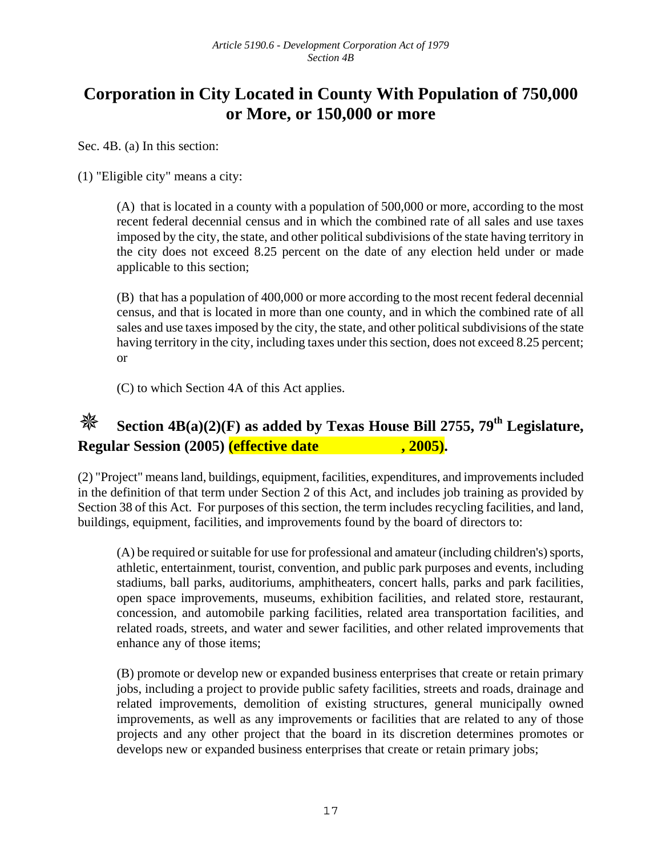## **Corporation in City Located in County With Population of 750,000 or More, or 150,000 or more**

Sec. 4B. (a) In this section:

(1) "Eligible city" means a city:

(A) that is located in a county with a population of 500,000 or more, according to the most recent federal decennial census and in which the combined rate of all sales and use taxes imposed by the city, the state, and other political subdivisions of the state having territory in the city does not exceed 8.25 percent on the date of any election held under or made applicable to this section;

(B) that has a population of 400,000 or more according to the most recent federal decennial census, and that is located in more than one county, and in which the combined rate of all sales and use taxes imposed by the city, the state, and other political subdivisions of the state having territory in the city, including taxes under this section, does not exceed 8.25 percent; or

(C) to which Section 4A of this Act applies.

# **Section 4B(a)(2)(F) as added by Texas House Bill 2755, 79th Legislature, Regular Session (2005)** (effective date , 2005).

(2) "Project" means land, buildings, equipment, facilities, expenditures, and improvements included in the definition of that term under Section 2 of this Act, and includes job training as provided by Section 38 of this Act. For purposes of this section, the term includes recycling facilities, and land, buildings, equipment, facilities, and improvements found by the board of directors to:

(A) be required or suitable for use for professional and amateur (including children's) sports, athletic, entertainment, tourist, convention, and public park purposes and events, including stadiums, ball parks, auditoriums, amphitheaters, concert halls, parks and park facilities, open space improvements, museums, exhibition facilities, and related store, restaurant, concession, and automobile parking facilities, related area transportation facilities, and related roads, streets, and water and sewer facilities, and other related improvements that enhance any of those items;

(B) promote or develop new or expanded business enterprises that create or retain primary jobs, including a project to provide public safety facilities, streets and roads, drainage and related improvements, demolition of existing structures, general municipally owned improvements, as well as any improvements or facilities that are related to any of those projects and any other project that the board in its discretion determines promotes or develops new or expanded business enterprises that create or retain primary jobs;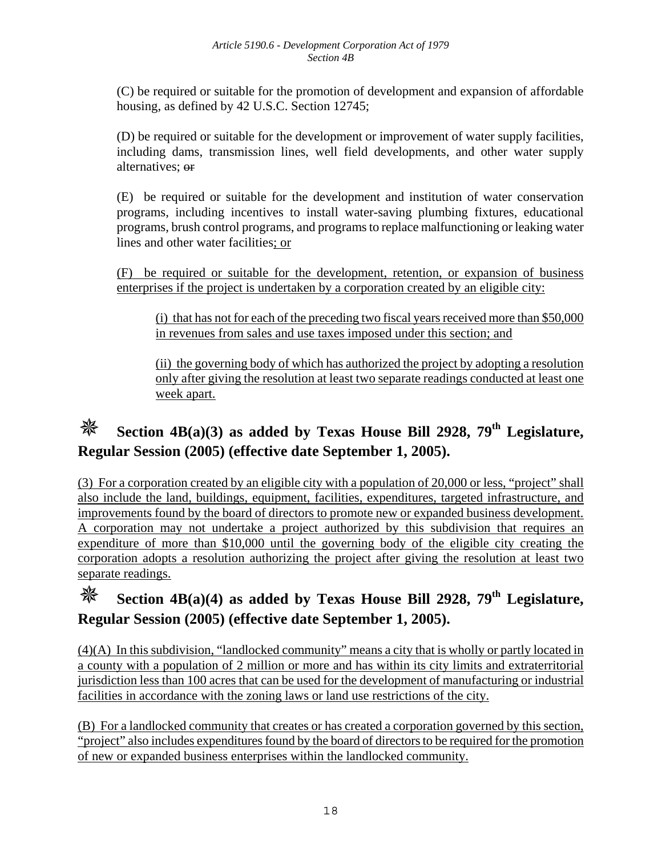(C) be required or suitable for the promotion of development and expansion of affordable housing, as defined by 42 U.S.C. Section 12745;

(D) be required or suitable for the development or improvement of water supply facilities, including dams, transmission lines, well field developments, and other water supply alternatives; or

(E) be required or suitable for the development and institution of water conservation programs, including incentives to install water-saving plumbing fixtures, educational programs, brush control programs, and programs to replace malfunctioning or leaking water lines and other water facilities; or

(F) be required or suitable for the development, retention, or expansion of business enterprises if the project is undertaken by a corporation created by an eligible city:

(i) that has not for each of the preceding two fiscal years received more than \$50,000 in revenues from sales and use taxes imposed under this section; and

(ii) the governing body of which has authorized the project by adopting a resolution only after giving the resolution at least two separate readings conducted at least one week apart.

## **Section 4B(a)(3) as added by Texas House Bill 2928, 79<sup>th</sup> Legislature, Regular Session (2005) (effective date September 1, 2005).**

(3) For a corporation created by an eligible city with a population of 20,000 or less, "project" shall also include the land, buildings, equipment, facilities, expenditures, targeted infrastructure, and improvements found by the board of directors to promote new or expanded business development. A corporation may not undertake a project authorized by this subdivision that requires an expenditure of more than \$10,000 until the governing body of the eligible city creating the corporation adopts a resolution authorizing the project after giving the resolution at least two separate readings.

# **Section 4B(a)(4) as added by Texas House Bill 2928, 79<sup>th</sup> Legislature, Regular Session (2005) (effective date September 1, 2005).**

(4)(A) In this subdivision, "landlocked community" means a city that is wholly or partly located in a county with a population of 2 million or more and has within its city limits and extraterritorial jurisdiction less than 100 acres that can be used for the development of manufacturing or industrial facilities in accordance with the zoning laws or land use restrictions of the city.

(B) For a landlocked community that creates or has created a corporation governed by this section, "project" also includes expenditures found by the board of directors to be required for the promotion of new or expanded business enterprises within the landlocked community.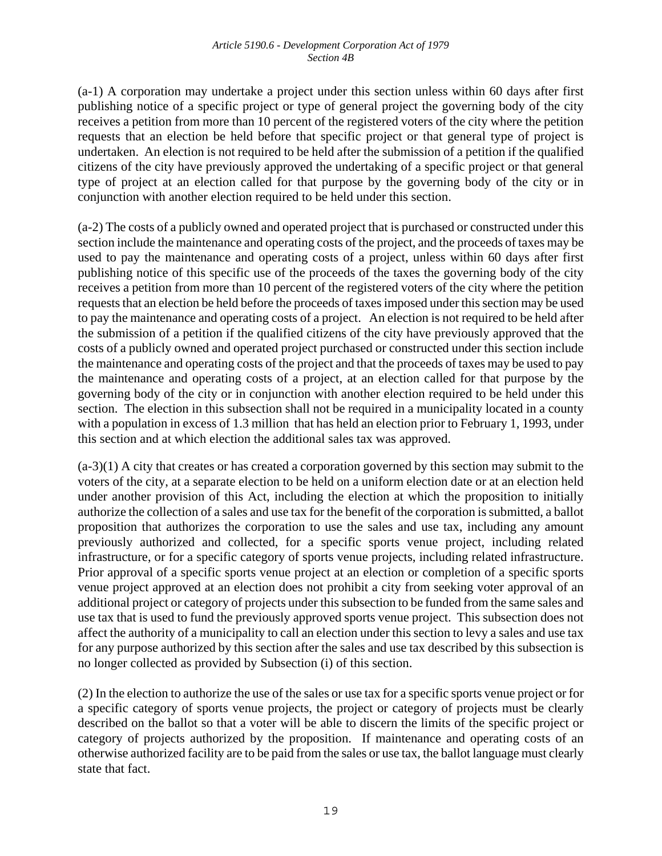(a-1) A corporation may undertake a project under this section unless within 60 days after first publishing notice of a specific project or type of general project the governing body of the city receives a petition from more than 10 percent of the registered voters of the city where the petition requests that an election be held before that specific project or that general type of project is undertaken. An election is not required to be held after the submission of a petition if the qualified citizens of the city have previously approved the undertaking of a specific project or that general type of project at an election called for that purpose by the governing body of the city or in conjunction with another election required to be held under this section.

(a-2) The costs of a publicly owned and operated project that is purchased or constructed under this section include the maintenance and operating costs of the project, and the proceeds of taxes may be used to pay the maintenance and operating costs of a project, unless within 60 days after first publishing notice of this specific use of the proceeds of the taxes the governing body of the city receives a petition from more than 10 percent of the registered voters of the city where the petition requests that an election be held before the proceeds of taxes imposed under this section may be used to pay the maintenance and operating costs of a project. An election is not required to be held after the submission of a petition if the qualified citizens of the city have previously approved that the costs of a publicly owned and operated project purchased or constructed under this section include the maintenance and operating costs of the project and that the proceeds of taxes may be used to pay the maintenance and operating costs of a project, at an election called for that purpose by the governing body of the city or in conjunction with another election required to be held under this section. The election in this subsection shall not be required in a municipality located in a county with a population in excess of 1.3 million that has held an election prior to February 1, 1993, under this section and at which election the additional sales tax was approved.

(a-3)(1) A city that creates or has created a corporation governed by this section may submit to the voters of the city, at a separate election to be held on a uniform election date or at an election held under another provision of this Act, including the election at which the proposition to initially authorize the collection of a sales and use tax for the benefit of the corporation is submitted, a ballot proposition that authorizes the corporation to use the sales and use tax, including any amount previously authorized and collected, for a specific sports venue project, including related infrastructure, or for a specific category of sports venue projects, including related infrastructure. Prior approval of a specific sports venue project at an election or completion of a specific sports venue project approved at an election does not prohibit a city from seeking voter approval of an additional project or category of projects under this subsection to be funded from the same sales and use tax that is used to fund the previously approved sports venue project. This subsection does not affect the authority of a municipality to call an election under this section to levy a sales and use tax for any purpose authorized by this section after the sales and use tax described by this subsection is no longer collected as provided by Subsection (i) of this section.

(2) In the election to authorize the use of the sales or use tax for a specific sports venue project or for a specific category of sports venue projects, the project or category of projects must be clearly described on the ballot so that a voter will be able to discern the limits of the specific project or category of projects authorized by the proposition. If maintenance and operating costs of an otherwise authorized facility are to be paid from the sales or use tax, the ballot language must clearly state that fact.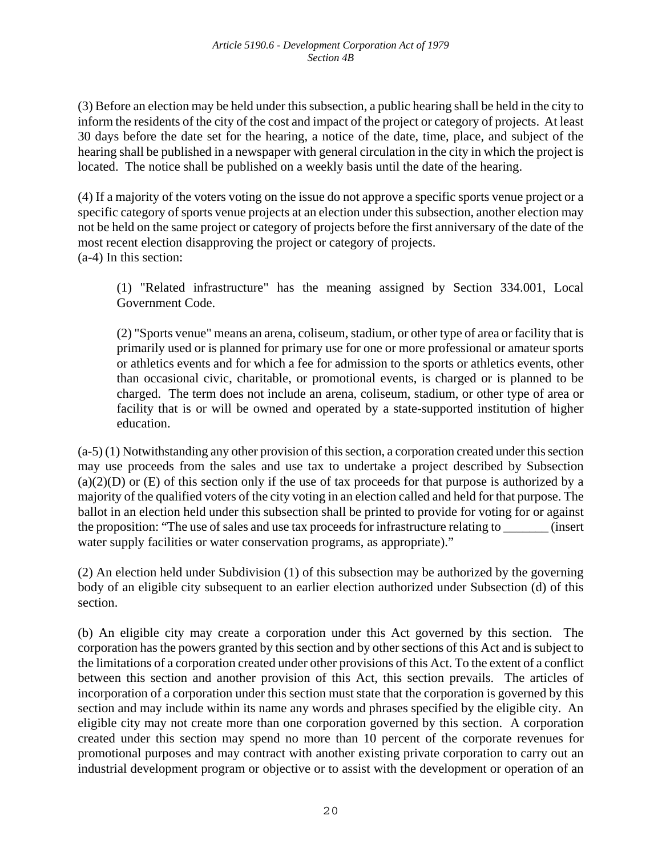(3) Before an election may be held under this subsection, a public hearing shall be held in the city to inform the residents of the city of the cost and impact of the project or category of projects. At least 30 days before the date set for the hearing, a notice of the date, time, place, and subject of the hearing shall be published in a newspaper with general circulation in the city in which the project is located. The notice shall be published on a weekly basis until the date of the hearing.

(4) If a majority of the voters voting on the issue do not approve a specific sports venue project or a specific category of sports venue projects at an election under this subsection, another election may not be held on the same project or category of projects before the first anniversary of the date of the most recent election disapproving the project or category of projects. (a-4) In this section:

(1) "Related infrastructure" has the meaning assigned by Section 334.001, Local Government Code.

(2) "Sports venue" means an arena, coliseum, stadium, or other type of area or facility that is primarily used or is planned for primary use for one or more professional or amateur sports or athletics events and for which a fee for admission to the sports or athletics events, other than occasional civic, charitable, or promotional events, is charged or is planned to be charged. The term does not include an arena, coliseum, stadium, or other type of area or facility that is or will be owned and operated by a state-supported institution of higher education.

(a-5) (1) Notwithstanding any other provision of this section, a corporation created under this section may use proceeds from the sales and use tax to undertake a project described by Subsection  $(a)(2)(D)$  or  $(E)$  of this section only if the use of tax proceeds for that purpose is authorized by a majority of the qualified voters of the city voting in an election called and held for that purpose. The ballot in an election held under this subsection shall be printed to provide for voting for or against the proposition: "The use of sales and use tax proceeds for infrastructure relating to \_\_\_\_\_\_\_ (insert water supply facilities or water conservation programs, as appropriate)."

(2) An election held under Subdivision (1) of this subsection may be authorized by the governing body of an eligible city subsequent to an earlier election authorized under Subsection (d) of this section.

(b) An eligible city may create a corporation under this Act governed by this section. The corporation has the powers granted by this section and by other sections of this Act and is subject to the limitations of a corporation created under other provisions of this Act. To the extent of a conflict between this section and another provision of this Act, this section prevails. The articles of incorporation of a corporation under this section must state that the corporation is governed by this section and may include within its name any words and phrases specified by the eligible city. An eligible city may not create more than one corporation governed by this section. A corporation created under this section may spend no more than 10 percent of the corporate revenues for promotional purposes and may contract with another existing private corporation to carry out an industrial development program or objective or to assist with the development or operation of an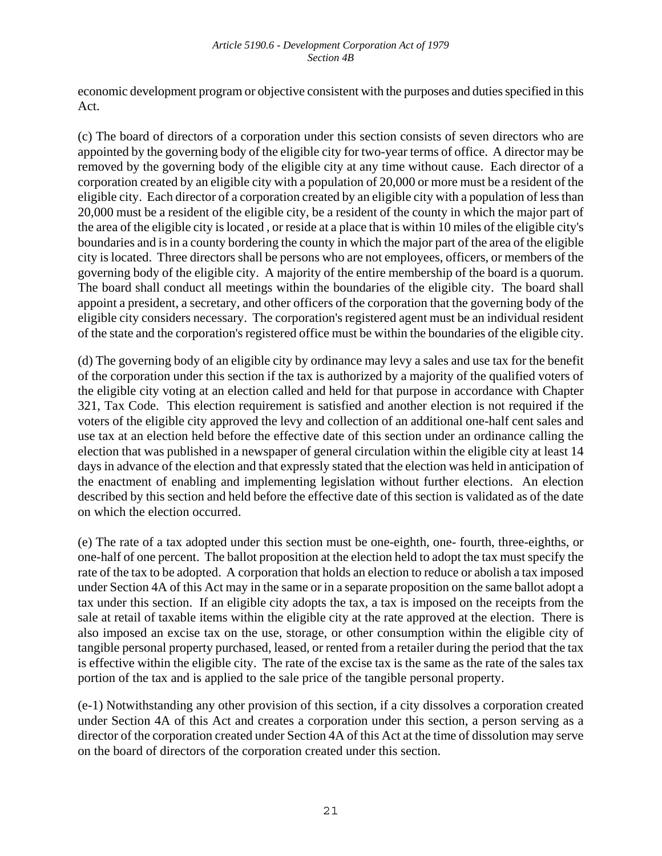economic development program or objective consistent with the purposes and duties specified in this Act.

(c) The board of directors of a corporation under this section consists of seven directors who are appointed by the governing body of the eligible city for two-year terms of office. A director may be removed by the governing body of the eligible city at any time without cause. Each director of a corporation created by an eligible city with a population of 20,000 or more must be a resident of the eligible city. Each director of a corporation created by an eligible city with a population of less than 20,000 must be a resident of the eligible city, be a resident of the county in which the major part of the area of the eligible city is located , or reside at a place that is within 10 miles of the eligible city's boundaries and is in a county bordering the county in which the major part of the area of the eligible city is located. Three directors shall be persons who are not employees, officers, or members of the governing body of the eligible city. A majority of the entire membership of the board is a quorum. The board shall conduct all meetings within the boundaries of the eligible city. The board shall appoint a president, a secretary, and other officers of the corporation that the governing body of the eligible city considers necessary. The corporation's registered agent must be an individual resident of the state and the corporation's registered office must be within the boundaries of the eligible city.

(d) The governing body of an eligible city by ordinance may levy a sales and use tax for the benefit of the corporation under this section if the tax is authorized by a majority of the qualified voters of the eligible city voting at an election called and held for that purpose in accordance with Chapter 321, Tax Code. This election requirement is satisfied and another election is not required if the voters of the eligible city approved the levy and collection of an additional one-half cent sales and use tax at an election held before the effective date of this section under an ordinance calling the election that was published in a newspaper of general circulation within the eligible city at least 14 days in advance of the election and that expressly stated that the election was held in anticipation of the enactment of enabling and implementing legislation without further elections. An election described by this section and held before the effective date of this section is validated as of the date on which the election occurred.

(e) The rate of a tax adopted under this section must be one-eighth, one- fourth, three-eighths, or one-half of one percent. The ballot proposition at the election held to adopt the tax must specify the rate of the tax to be adopted. A corporation that holds an election to reduce or abolish a tax imposed under Section 4A of this Act may in the same or in a separate proposition on the same ballot adopt a tax under this section. If an eligible city adopts the tax, a tax is imposed on the receipts from the sale at retail of taxable items within the eligible city at the rate approved at the election. There is also imposed an excise tax on the use, storage, or other consumption within the eligible city of tangible personal property purchased, leased, or rented from a retailer during the period that the tax is effective within the eligible city. The rate of the excise tax is the same as the rate of the sales tax portion of the tax and is applied to the sale price of the tangible personal property.

(e-1) Notwithstanding any other provision of this section, if a city dissolves a corporation created under Section 4A of this Act and creates a corporation under this section, a person serving as a director of the corporation created under Section 4A of this Act at the time of dissolution may serve on the board of directors of the corporation created under this section.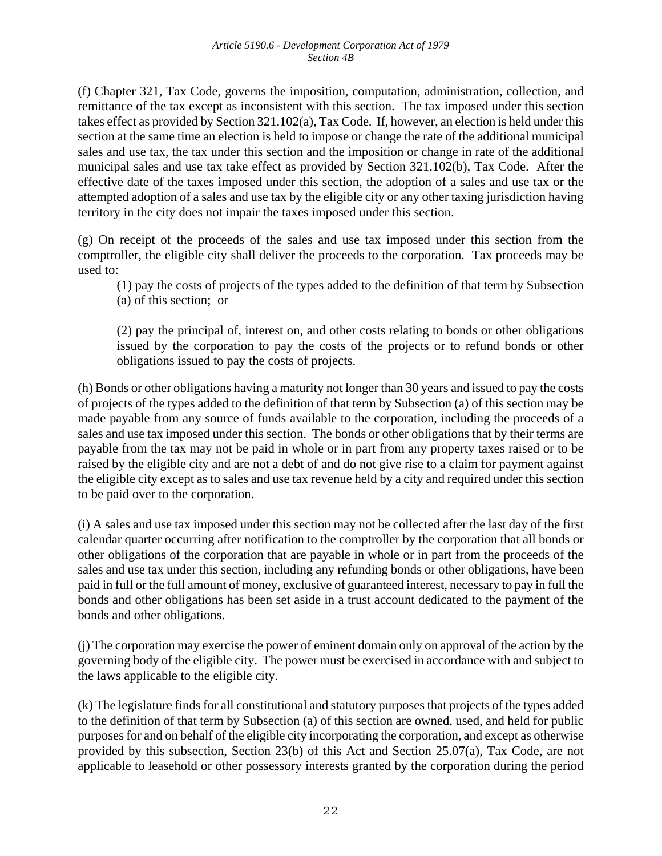(f) Chapter 321, Tax Code, governs the imposition, computation, administration, collection, and remittance of the tax except as inconsistent with this section. The tax imposed under this section takes effect as provided by Section 321.102(a), Tax Code. If, however, an election is held under this section at the same time an election is held to impose or change the rate of the additional municipal sales and use tax, the tax under this section and the imposition or change in rate of the additional municipal sales and use tax take effect as provided by Section 321.102(b), Tax Code. After the effective date of the taxes imposed under this section, the adoption of a sales and use tax or the attempted adoption of a sales and use tax by the eligible city or any other taxing jurisdiction having territory in the city does not impair the taxes imposed under this section.

(g) On receipt of the proceeds of the sales and use tax imposed under this section from the comptroller, the eligible city shall deliver the proceeds to the corporation. Tax proceeds may be used to:

(1) pay the costs of projects of the types added to the definition of that term by Subsection (a) of this section; or

(2) pay the principal of, interest on, and other costs relating to bonds or other obligations issued by the corporation to pay the costs of the projects or to refund bonds or other obligations issued to pay the costs of projects.

(h) Bonds or other obligations having a maturity not longer than 30 years and issued to pay the costs of projects of the types added to the definition of that term by Subsection (a) of this section may be made payable from any source of funds available to the corporation, including the proceeds of a sales and use tax imposed under this section. The bonds or other obligations that by their terms are payable from the tax may not be paid in whole or in part from any property taxes raised or to be raised by the eligible city and are not a debt of and do not give rise to a claim for payment against the eligible city except as to sales and use tax revenue held by a city and required under this section to be paid over to the corporation.

(i) A sales and use tax imposed under this section may not be collected after the last day of the first calendar quarter occurring after notification to the comptroller by the corporation that all bonds or other obligations of the corporation that are payable in whole or in part from the proceeds of the sales and use tax under this section, including any refunding bonds or other obligations, have been paid in full or the full amount of money, exclusive of guaranteed interest, necessary to pay in full the bonds and other obligations has been set aside in a trust account dedicated to the payment of the bonds and other obligations.

(j) The corporation may exercise the power of eminent domain only on approval of the action by the governing body of the eligible city. The power must be exercised in accordance with and subject to the laws applicable to the eligible city.

(k) The legislature finds for all constitutional and statutory purposes that projects of the types added to the definition of that term by Subsection (a) of this section are owned, used, and held for public purposes for and on behalf of the eligible city incorporating the corporation, and except as otherwise provided by this subsection, Section 23(b) of this Act and Section 25.07(a), Tax Code, are not applicable to leasehold or other possessory interests granted by the corporation during the period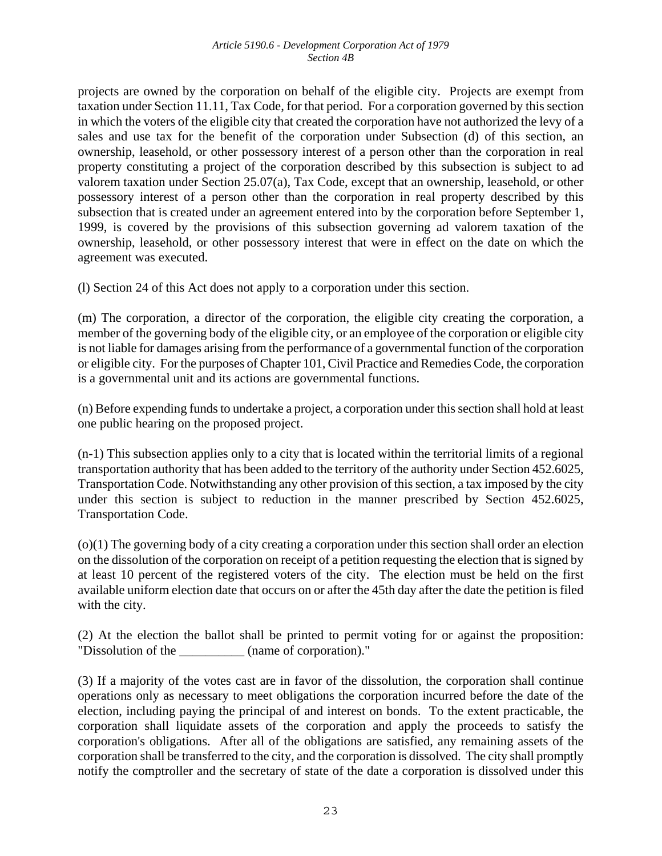projects are owned by the corporation on behalf of the eligible city. Projects are exempt from taxation under Section 11.11, Tax Code, for that period. For a corporation governed by this section in which the voters of the eligible city that created the corporation have not authorized the levy of a sales and use tax for the benefit of the corporation under Subsection (d) of this section, an ownership, leasehold, or other possessory interest of a person other than the corporation in real property constituting a project of the corporation described by this subsection is subject to ad valorem taxation under Section 25.07(a), Tax Code, except that an ownership, leasehold, or other possessory interest of a person other than the corporation in real property described by this subsection that is created under an agreement entered into by the corporation before September 1, 1999, is covered by the provisions of this subsection governing ad valorem taxation of the ownership, leasehold, or other possessory interest that were in effect on the date on which the agreement was executed.

(l) Section 24 of this Act does not apply to a corporation under this section.

(m) The corporation, a director of the corporation, the eligible city creating the corporation, a member of the governing body of the eligible city, or an employee of the corporation or eligible city is not liable for damages arising from the performance of a governmental function of the corporation or eligible city. For the purposes of Chapter 101, Civil Practice and Remedies Code, the corporation is a governmental unit and its actions are governmental functions.

(n) Before expending funds to undertake a project, a corporation under this section shall hold at least one public hearing on the proposed project.

(n-1) This subsection applies only to a city that is located within the territorial limits of a regional transportation authority that has been added to the territory of the authority under Section 452.6025, Transportation Code. Notwithstanding any other provision of this section, a tax imposed by the city under this section is subject to reduction in the manner prescribed by Section 452.6025, Transportation Code.

(o)(1) The governing body of a city creating a corporation under this section shall order an election on the dissolution of the corporation on receipt of a petition requesting the election that is signed by at least 10 percent of the registered voters of the city. The election must be held on the first available uniform election date that occurs on or after the 45th day after the date the petition is filed with the city.

(2) At the election the ballot shall be printed to permit voting for or against the proposition: "Dissolution of the \_\_\_\_\_\_\_\_\_\_ (name of corporation)."

(3) If a majority of the votes cast are in favor of the dissolution, the corporation shall continue operations only as necessary to meet obligations the corporation incurred before the date of the election, including paying the principal of and interest on bonds. To the extent practicable, the corporation shall liquidate assets of the corporation and apply the proceeds to satisfy the corporation's obligations. After all of the obligations are satisfied, any remaining assets of the corporation shall be transferred to the city, and the corporation is dissolved. The city shall promptly notify the comptroller and the secretary of state of the date a corporation is dissolved under this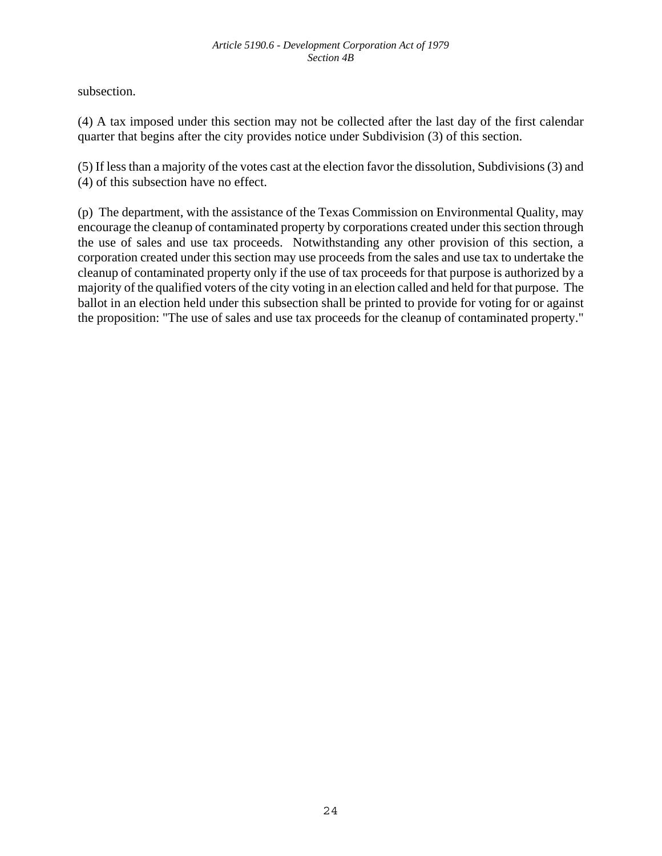subsection.

(4) A tax imposed under this section may not be collected after the last day of the first calendar quarter that begins after the city provides notice under Subdivision (3) of this section.

(5) If less than a majority of the votes cast at the election favor the dissolution, Subdivisions (3) and (4) of this subsection have no effect.

(p) The department, with the assistance of the Texas Commission on Environmental Quality, may encourage the cleanup of contaminated property by corporations created under this section through the use of sales and use tax proceeds. Notwithstanding any other provision of this section, a corporation created under this section may use proceeds from the sales and use tax to undertake the cleanup of contaminated property only if the use of tax proceeds for that purpose is authorized by a majority of the qualified voters of the city voting in an election called and held for that purpose. The ballot in an election held under this subsection shall be printed to provide for voting for or against the proposition: "The use of sales and use tax proceeds for the cleanup of contaminated property."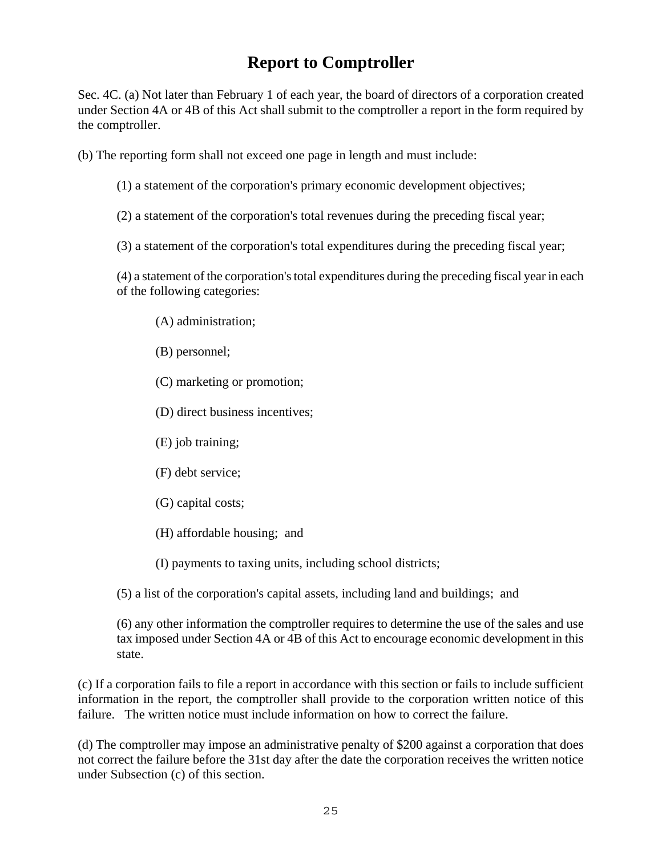# **Report to Comptroller**

Sec. 4C. (a) Not later than February 1 of each year, the board of directors of a corporation created under Section 4A or 4B of this Act shall submit to the comptroller a report in the form required by the comptroller.

(b) The reporting form shall not exceed one page in length and must include:

- (1) a statement of the corporation's primary economic development objectives;
- (2) a statement of the corporation's total revenues during the preceding fiscal year;
- (3) a statement of the corporation's total expenditures during the preceding fiscal year;

(4) a statement of the corporation's total expenditures during the preceding fiscal year in each of the following categories:

- (A) administration;
- (B) personnel;
- (C) marketing or promotion;
- (D) direct business incentives;
- (E) job training;
- (F) debt service;
- (G) capital costs;
- (H) affordable housing; and
- (I) payments to taxing units, including school districts;

(5) a list of the corporation's capital assets, including land and buildings; and

(6) any other information the comptroller requires to determine the use of the sales and use tax imposed under Section 4A or 4B of this Act to encourage economic development in this state.

(c) If a corporation fails to file a report in accordance with this section or fails to include sufficient information in the report, the comptroller shall provide to the corporation written notice of this failure. The written notice must include information on how to correct the failure.

(d) The comptroller may impose an administrative penalty of \$200 against a corporation that does not correct the failure before the 31st day after the date the corporation receives the written notice under Subsection (c) of this section.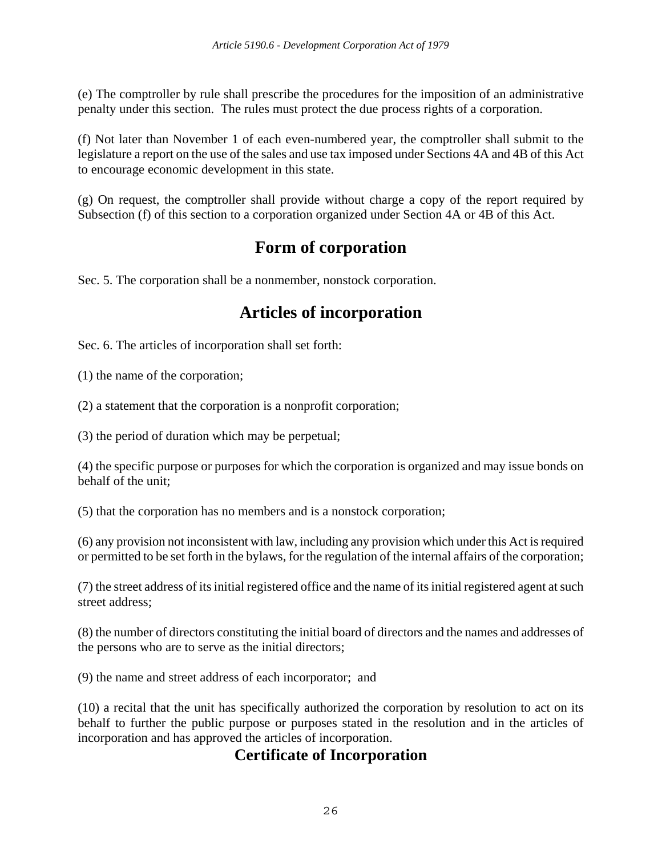(e) The comptroller by rule shall prescribe the procedures for the imposition of an administrative penalty under this section. The rules must protect the due process rights of a corporation.

(f) Not later than November 1 of each even-numbered year, the comptroller shall submit to the legislature a report on the use of the sales and use tax imposed under Sections 4A and 4B of this Act to encourage economic development in this state.

(g) On request, the comptroller shall provide without charge a copy of the report required by Subsection (f) of this section to a corporation organized under Section 4A or 4B of this Act.

## **Form of corporation**

Sec. 5. The corporation shall be a nonmember, nonstock corporation.

# **Articles of incorporation**

Sec. 6. The articles of incorporation shall set forth:

(1) the name of the corporation;

(2) a statement that the corporation is a nonprofit corporation;

(3) the period of duration which may be perpetual;

(4) the specific purpose or purposes for which the corporation is organized and may issue bonds on behalf of the unit;

(5) that the corporation has no members and is a nonstock corporation;

(6) any provision not inconsistent with law, including any provision which under this Act is required or permitted to be set forth in the bylaws, for the regulation of the internal affairs of the corporation;

(7) the street address of its initial registered office and the name of its initial registered agent at such street address;

(8) the number of directors constituting the initial board of directors and the names and addresses of the persons who are to serve as the initial directors;

(9) the name and street address of each incorporator; and

(10) a recital that the unit has specifically authorized the corporation by resolution to act on its behalf to further the public purpose or purposes stated in the resolution and in the articles of incorporation and has approved the articles of incorporation.

### **Certificate of Incorporation**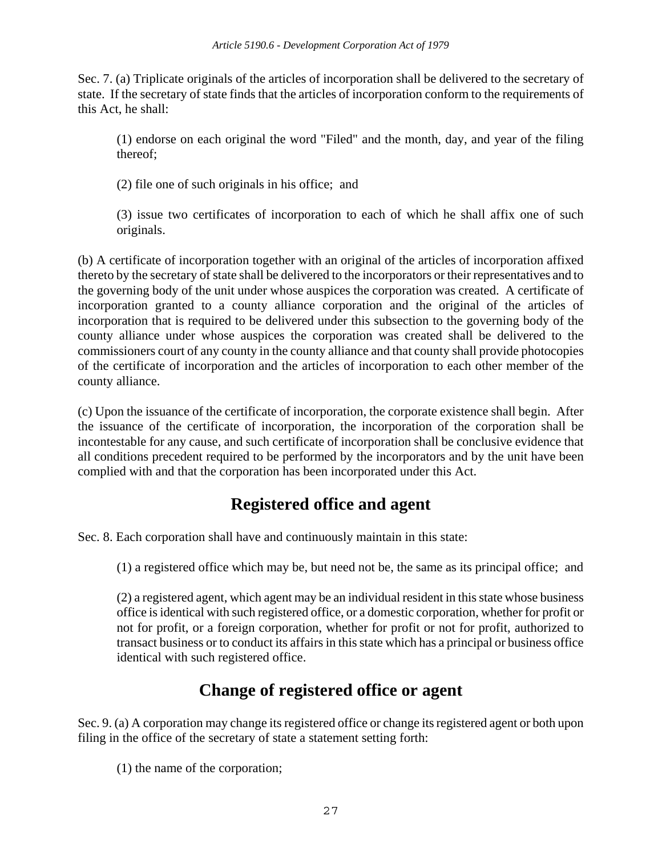Sec. 7. (a) Triplicate originals of the articles of incorporation shall be delivered to the secretary of state. If the secretary of state finds that the articles of incorporation conform to the requirements of this Act, he shall:

(1) endorse on each original the word "Filed" and the month, day, and year of the filing thereof;

(2) file one of such originals in his office; and

(3) issue two certificates of incorporation to each of which he shall affix one of such originals.

(b) A certificate of incorporation together with an original of the articles of incorporation affixed thereto by the secretary of state shall be delivered to the incorporators or their representatives and to the governing body of the unit under whose auspices the corporation was created. A certificate of incorporation granted to a county alliance corporation and the original of the articles of incorporation that is required to be delivered under this subsection to the governing body of the county alliance under whose auspices the corporation was created shall be delivered to the commissioners court of any county in the county alliance and that county shall provide photocopies of the certificate of incorporation and the articles of incorporation to each other member of the county alliance.

(c) Upon the issuance of the certificate of incorporation, the corporate existence shall begin. After the issuance of the certificate of incorporation, the incorporation of the corporation shall be incontestable for any cause, and such certificate of incorporation shall be conclusive evidence that all conditions precedent required to be performed by the incorporators and by the unit have been complied with and that the corporation has been incorporated under this Act.

# **Registered office and agent**

Sec. 8. Each corporation shall have and continuously maintain in this state:

(1) a registered office which may be, but need not be, the same as its principal office; and

(2) a registered agent, which agent may be an individual resident in this state whose business office is identical with such registered office, or a domestic corporation, whether for profit or not for profit, or a foreign corporation, whether for profit or not for profit, authorized to transact business or to conduct its affairs in this state which has a principal or business office identical with such registered office.

# **Change of registered office or agent**

Sec. 9. (a) A corporation may change its registered office or change its registered agent or both upon filing in the office of the secretary of state a statement setting forth:

(1) the name of the corporation;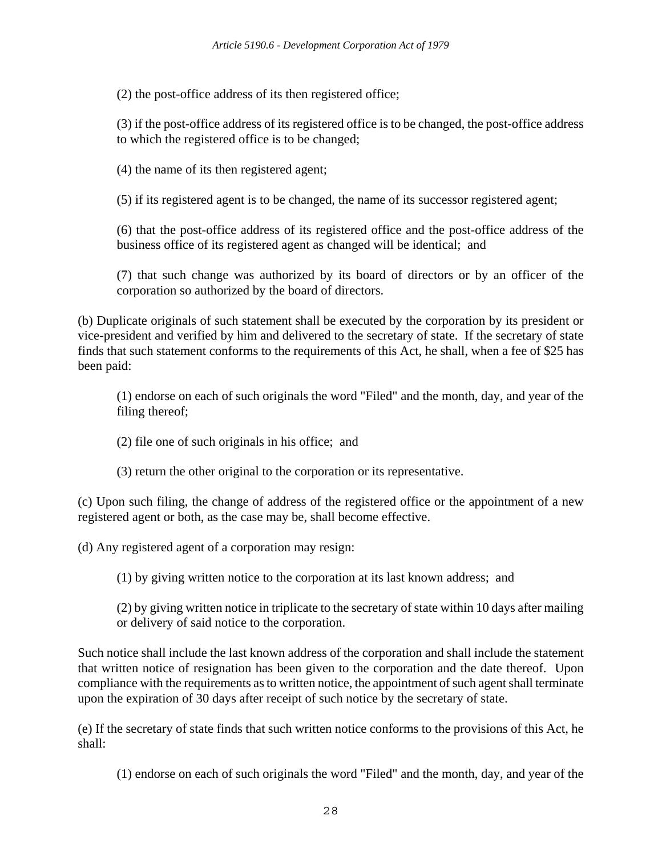(2) the post-office address of its then registered office;

(3) if the post-office address of its registered office is to be changed, the post-office address to which the registered office is to be changed;

(4) the name of its then registered agent;

(5) if its registered agent is to be changed, the name of its successor registered agent;

(6) that the post-office address of its registered office and the post-office address of the business office of its registered agent as changed will be identical; and

(7) that such change was authorized by its board of directors or by an officer of the corporation so authorized by the board of directors.

(b) Duplicate originals of such statement shall be executed by the corporation by its president or vice-president and verified by him and delivered to the secretary of state. If the secretary of state finds that such statement conforms to the requirements of this Act, he shall, when a fee of \$25 has been paid:

(1) endorse on each of such originals the word "Filed" and the month, day, and year of the filing thereof;

(2) file one of such originals in his office; and

(3) return the other original to the corporation or its representative.

(c) Upon such filing, the change of address of the registered office or the appointment of a new registered agent or both, as the case may be, shall become effective.

(d) Any registered agent of a corporation may resign:

(1) by giving written notice to the corporation at its last known address; and

(2) by giving written notice in triplicate to the secretary of state within 10 days after mailing or delivery of said notice to the corporation.

Such notice shall include the last known address of the corporation and shall include the statement that written notice of resignation has been given to the corporation and the date thereof. Upon compliance with the requirements as to written notice, the appointment of such agent shall terminate upon the expiration of 30 days after receipt of such notice by the secretary of state.

(e) If the secretary of state finds that such written notice conforms to the provisions of this Act, he shall:

(1) endorse on each of such originals the word "Filed" and the month, day, and year of the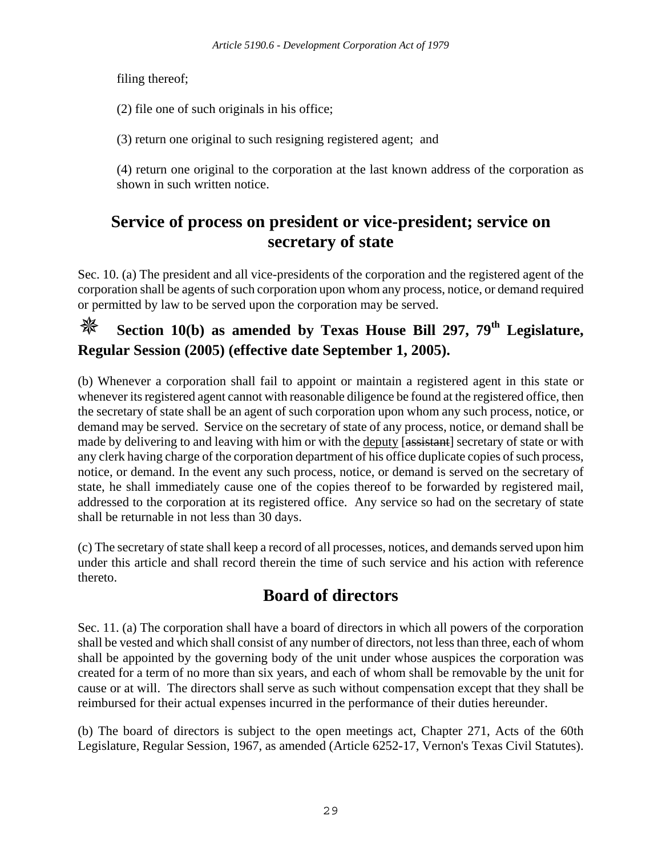filing thereof;

(2) file one of such originals in his office;

(3) return one original to such resigning registered agent; and

(4) return one original to the corporation at the last known address of the corporation as shown in such written notice.

# **Service of process on president or vice-president; service on secretary of state**

Sec. 10. (a) The president and all vice-presidents of the corporation and the registered agent of the corporation shall be agents of such corporation upon whom any process, notice, or demand required or permitted by law to be served upon the corporation may be served.

# **Section 10(b) as amended by Texas House Bill 297, 79<sup>th</sup> Legislature, Regular Session (2005) (effective date September 1, 2005).**

(b) Whenever a corporation shall fail to appoint or maintain a registered agent in this state or whenever its registered agent cannot with reasonable diligence be found at the registered office, then the secretary of state shall be an agent of such corporation upon whom any such process, notice, or demand may be served. Service on the secretary of state of any process, notice, or demand shall be made by delivering to and leaving with him or with the deputy [assistant] secretary of state or with any clerk having charge of the corporation department of his office duplicate copies of such process, notice, or demand. In the event any such process, notice, or demand is served on the secretary of state, he shall immediately cause one of the copies thereof to be forwarded by registered mail, addressed to the corporation at its registered office. Any service so had on the secretary of state shall be returnable in not less than 30 days.

(c) The secretary of state shall keep a record of all processes, notices, and demands served upon him under this article and shall record therein the time of such service and his action with reference thereto.

# **Board of directors**

Sec. 11. (a) The corporation shall have a board of directors in which all powers of the corporation shall be vested and which shall consist of any number of directors, not less than three, each of whom shall be appointed by the governing body of the unit under whose auspices the corporation was created for a term of no more than six years, and each of whom shall be removable by the unit for cause or at will. The directors shall serve as such without compensation except that they shall be reimbursed for their actual expenses incurred in the performance of their duties hereunder.

(b) The board of directors is subject to the open meetings act, Chapter 271, Acts of the 60th Legislature, Regular Session, 1967, as amended (Article 6252-17, Vernon's Texas Civil Statutes).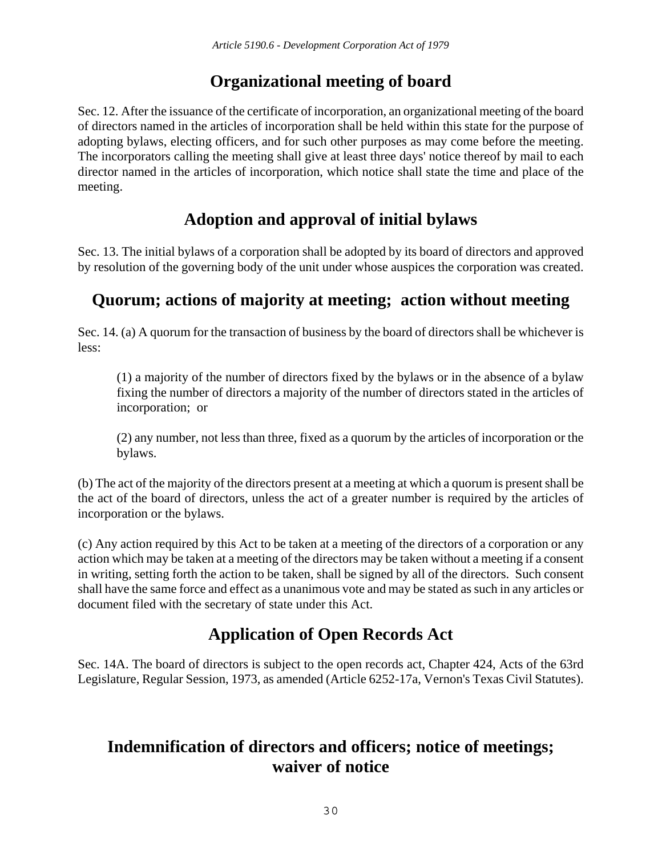# **Organizational meeting of board**

Sec. 12. After the issuance of the certificate of incorporation, an organizational meeting of the board of directors named in the articles of incorporation shall be held within this state for the purpose of adopting bylaws, electing officers, and for such other purposes as may come before the meeting. The incorporators calling the meeting shall give at least three days' notice thereof by mail to each director named in the articles of incorporation, which notice shall state the time and place of the meeting.

# **Adoption and approval of initial bylaws**

Sec. 13. The initial bylaws of a corporation shall be adopted by its board of directors and approved by resolution of the governing body of the unit under whose auspices the corporation was created.

# **Quorum; actions of majority at meeting; action without meeting**

Sec. 14. (a) A quorum for the transaction of business by the board of directors shall be whichever is less:

(1) a majority of the number of directors fixed by the bylaws or in the absence of a bylaw fixing the number of directors a majority of the number of directors stated in the articles of incorporation; or

(2) any number, not less than three, fixed as a quorum by the articles of incorporation or the bylaws.

(b) The act of the majority of the directors present at a meeting at which a quorum is present shall be the act of the board of directors, unless the act of a greater number is required by the articles of incorporation or the bylaws.

(c) Any action required by this Act to be taken at a meeting of the directors of a corporation or any action which may be taken at a meeting of the directors may be taken without a meeting if a consent in writing, setting forth the action to be taken, shall be signed by all of the directors. Such consent shall have the same force and effect as a unanimous vote and may be stated as such in any articles or document filed with the secretary of state under this Act.

# **Application of Open Records Act**

Sec. 14A. The board of directors is subject to the open records act, Chapter 424, Acts of the 63rd Legislature, Regular Session, 1973, as amended (Article 6252-17a, Vernon's Texas Civil Statutes).

# **Indemnification of directors and officers; notice of meetings; waiver of notice**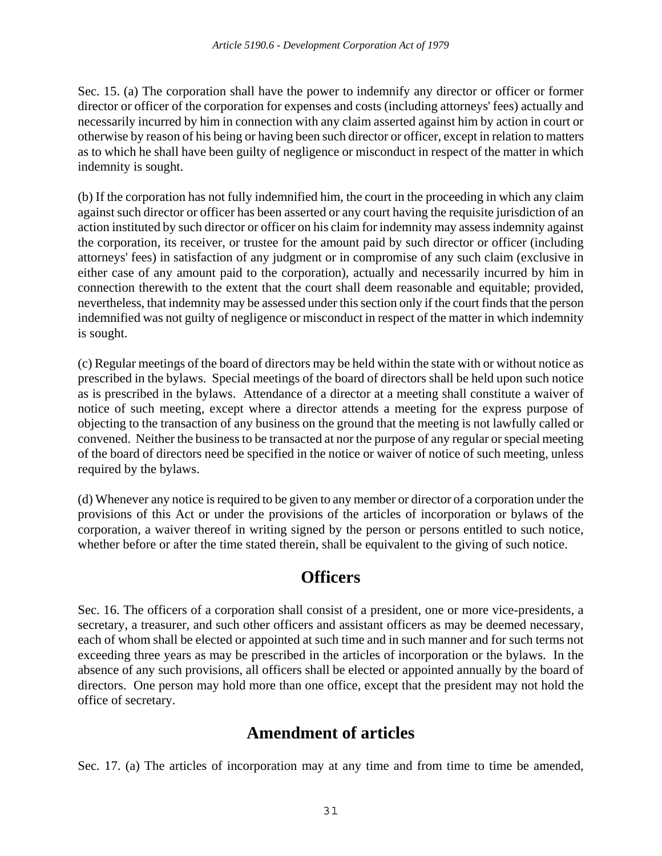Sec. 15. (a) The corporation shall have the power to indemnify any director or officer or former director or officer of the corporation for expenses and costs (including attorneys' fees) actually and necessarily incurred by him in connection with any claim asserted against him by action in court or otherwise by reason of his being or having been such director or officer, except in relation to matters as to which he shall have been guilty of negligence or misconduct in respect of the matter in which indemnity is sought.

(b) If the corporation has not fully indemnified him, the court in the proceeding in which any claim against such director or officer has been asserted or any court having the requisite jurisdiction of an action instituted by such director or officer on his claim for indemnity may assess indemnity against the corporation, its receiver, or trustee for the amount paid by such director or officer (including attorneys' fees) in satisfaction of any judgment or in compromise of any such claim (exclusive in either case of any amount paid to the corporation), actually and necessarily incurred by him in connection therewith to the extent that the court shall deem reasonable and equitable; provided, nevertheless, that indemnity may be assessed under this section only if the court finds that the person indemnified was not guilty of negligence or misconduct in respect of the matter in which indemnity is sought.

(c) Regular meetings of the board of directors may be held within the state with or without notice as prescribed in the bylaws. Special meetings of the board of directors shall be held upon such notice as is prescribed in the bylaws. Attendance of a director at a meeting shall constitute a waiver of notice of such meeting, except where a director attends a meeting for the express purpose of objecting to the transaction of any business on the ground that the meeting is not lawfully called or convened. Neither the business to be transacted at nor the purpose of any regular or special meeting of the board of directors need be specified in the notice or waiver of notice of such meeting, unless required by the bylaws.

(d) Whenever any notice is required to be given to any member or director of a corporation under the provisions of this Act or under the provisions of the articles of incorporation or bylaws of the corporation, a waiver thereof in writing signed by the person or persons entitled to such notice, whether before or after the time stated therein, shall be equivalent to the giving of such notice.

### **Officers**

Sec. 16. The officers of a corporation shall consist of a president, one or more vice-presidents, a secretary, a treasurer, and such other officers and assistant officers as may be deemed necessary, each of whom shall be elected or appointed at such time and in such manner and for such terms not exceeding three years as may be prescribed in the articles of incorporation or the bylaws. In the absence of any such provisions, all officers shall be elected or appointed annually by the board of directors. One person may hold more than one office, except that the president may not hold the office of secretary.

## **Amendment of articles**

Sec. 17. (a) The articles of incorporation may at any time and from time to time be amended,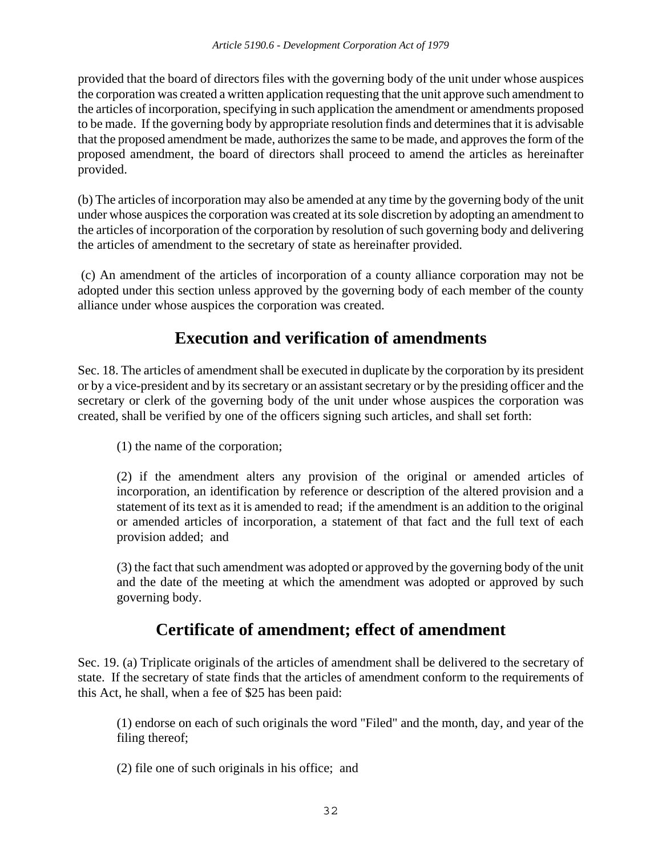provided that the board of directors files with the governing body of the unit under whose auspices the corporation was created a written application requesting that the unit approve such amendment to the articles of incorporation, specifying in such application the amendment or amendments proposed to be made. If the governing body by appropriate resolution finds and determines that it is advisable that the proposed amendment be made, authorizes the same to be made, and approves the form of the proposed amendment, the board of directors shall proceed to amend the articles as hereinafter provided.

(b) The articles of incorporation may also be amended at any time by the governing body of the unit under whose auspices the corporation was created at its sole discretion by adopting an amendment to the articles of incorporation of the corporation by resolution of such governing body and delivering the articles of amendment to the secretary of state as hereinafter provided.

 (c) An amendment of the articles of incorporation of a county alliance corporation may not be adopted under this section unless approved by the governing body of each member of the county alliance under whose auspices the corporation was created.

# **Execution and verification of amendments**

Sec. 18. The articles of amendment shall be executed in duplicate by the corporation by its president or by a vice-president and by its secretary or an assistant secretary or by the presiding officer and the secretary or clerk of the governing body of the unit under whose auspices the corporation was created, shall be verified by one of the officers signing such articles, and shall set forth:

(1) the name of the corporation;

(2) if the amendment alters any provision of the original or amended articles of incorporation, an identification by reference or description of the altered provision and a statement of its text as it is amended to read; if the amendment is an addition to the original or amended articles of incorporation, a statement of that fact and the full text of each provision added; and

(3) the fact that such amendment was adopted or approved by the governing body of the unit and the date of the meeting at which the amendment was adopted or approved by such governing body.

# **Certificate of amendment; effect of amendment**

Sec. 19. (a) Triplicate originals of the articles of amendment shall be delivered to the secretary of state. If the secretary of state finds that the articles of amendment conform to the requirements of this Act, he shall, when a fee of \$25 has been paid:

(1) endorse on each of such originals the word "Filed" and the month, day, and year of the filing thereof;

(2) file one of such originals in his office; and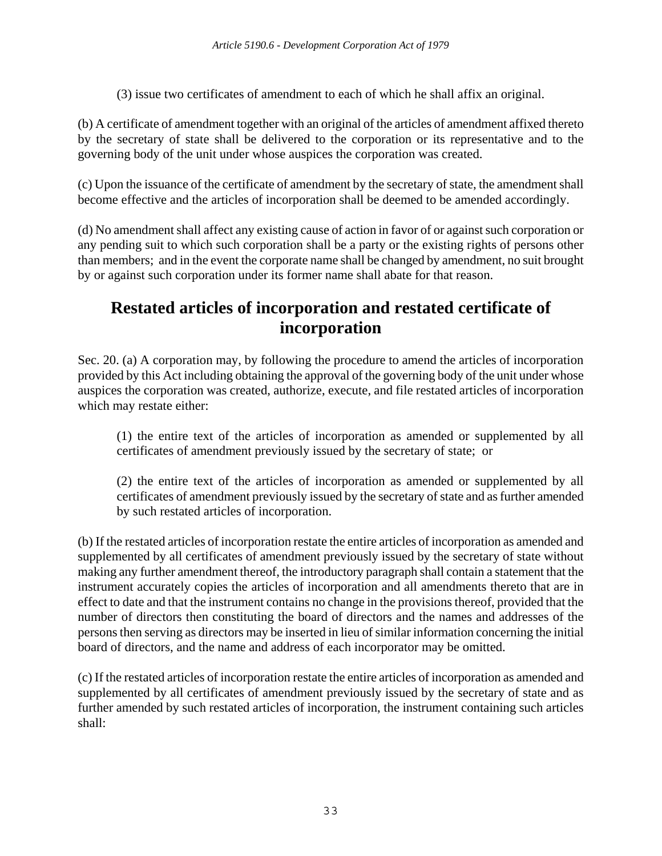(3) issue two certificates of amendment to each of which he shall affix an original.

(b) A certificate of amendment together with an original of the articles of amendment affixed thereto by the secretary of state shall be delivered to the corporation or its representative and to the governing body of the unit under whose auspices the corporation was created.

(c) Upon the issuance of the certificate of amendment by the secretary of state, the amendment shall become effective and the articles of incorporation shall be deemed to be amended accordingly.

(d) No amendment shall affect any existing cause of action in favor of or against such corporation or any pending suit to which such corporation shall be a party or the existing rights of persons other than members; and in the event the corporate name shall be changed by amendment, no suit brought by or against such corporation under its former name shall abate for that reason.

## **Restated articles of incorporation and restated certificate of incorporation**

Sec. 20. (a) A corporation may, by following the procedure to amend the articles of incorporation provided by this Act including obtaining the approval of the governing body of the unit under whose auspices the corporation was created, authorize, execute, and file restated articles of incorporation which may restate either:

(1) the entire text of the articles of incorporation as amended or supplemented by all certificates of amendment previously issued by the secretary of state; or

(2) the entire text of the articles of incorporation as amended or supplemented by all certificates of amendment previously issued by the secretary of state and as further amended by such restated articles of incorporation.

(b) If the restated articles of incorporation restate the entire articles of incorporation as amended and supplemented by all certificates of amendment previously issued by the secretary of state without making any further amendment thereof, the introductory paragraph shall contain a statement that the instrument accurately copies the articles of incorporation and all amendments thereto that are in effect to date and that the instrument contains no change in the provisions thereof, provided that the number of directors then constituting the board of directors and the names and addresses of the persons then serving as directors may be inserted in lieu of similar information concerning the initial board of directors, and the name and address of each incorporator may be omitted.

(c) If the restated articles of incorporation restate the entire articles of incorporation as amended and supplemented by all certificates of amendment previously issued by the secretary of state and as further amended by such restated articles of incorporation, the instrument containing such articles shall: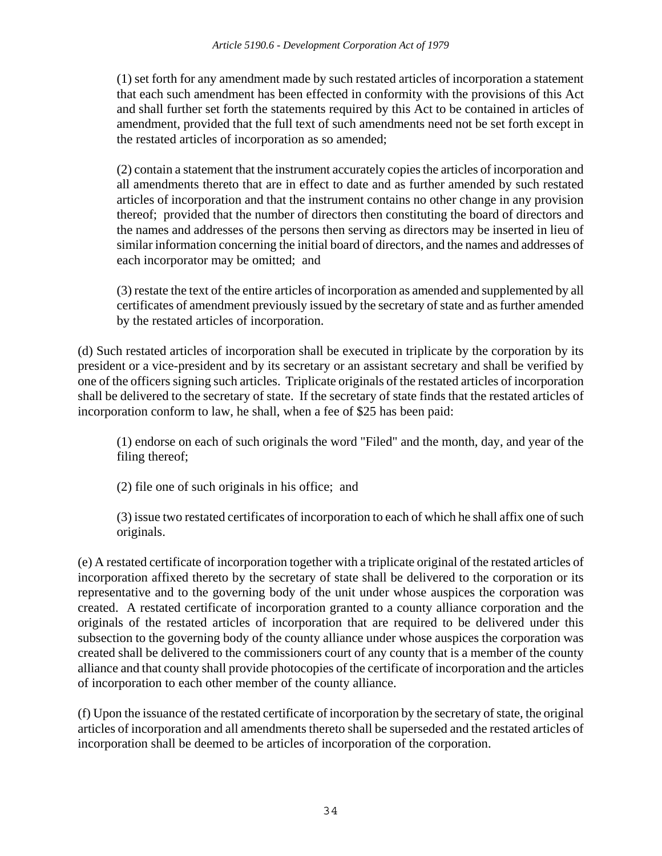(1) set forth for any amendment made by such restated articles of incorporation a statement that each such amendment has been effected in conformity with the provisions of this Act and shall further set forth the statements required by this Act to be contained in articles of amendment, provided that the full text of such amendments need not be set forth except in the restated articles of incorporation as so amended;

(2) contain a statement that the instrument accurately copies the articles of incorporation and all amendments thereto that are in effect to date and as further amended by such restated articles of incorporation and that the instrument contains no other change in any provision thereof; provided that the number of directors then constituting the board of directors and the names and addresses of the persons then serving as directors may be inserted in lieu of similar information concerning the initial board of directors, and the names and addresses of each incorporator may be omitted; and

(3) restate the text of the entire articles of incorporation as amended and supplemented by all certificates of amendment previously issued by the secretary of state and as further amended by the restated articles of incorporation.

(d) Such restated articles of incorporation shall be executed in triplicate by the corporation by its president or a vice-president and by its secretary or an assistant secretary and shall be verified by one of the officers signing such articles. Triplicate originals of the restated articles of incorporation shall be delivered to the secretary of state. If the secretary of state finds that the restated articles of incorporation conform to law, he shall, when a fee of \$25 has been paid:

(1) endorse on each of such originals the word "Filed" and the month, day, and year of the filing thereof;

(2) file one of such originals in his office; and

(3) issue two restated certificates of incorporation to each of which he shall affix one of such originals.

(e) A restated certificate of incorporation together with a triplicate original of the restated articles of incorporation affixed thereto by the secretary of state shall be delivered to the corporation or its representative and to the governing body of the unit under whose auspices the corporation was created. A restated certificate of incorporation granted to a county alliance corporation and the originals of the restated articles of incorporation that are required to be delivered under this subsection to the governing body of the county alliance under whose auspices the corporation was created shall be delivered to the commissioners court of any county that is a member of the county alliance and that county shall provide photocopies of the certificate of incorporation and the articles of incorporation to each other member of the county alliance.

(f) Upon the issuance of the restated certificate of incorporation by the secretary of state, the original articles of incorporation and all amendments thereto shall be superseded and the restated articles of incorporation shall be deemed to be articles of incorporation of the corporation.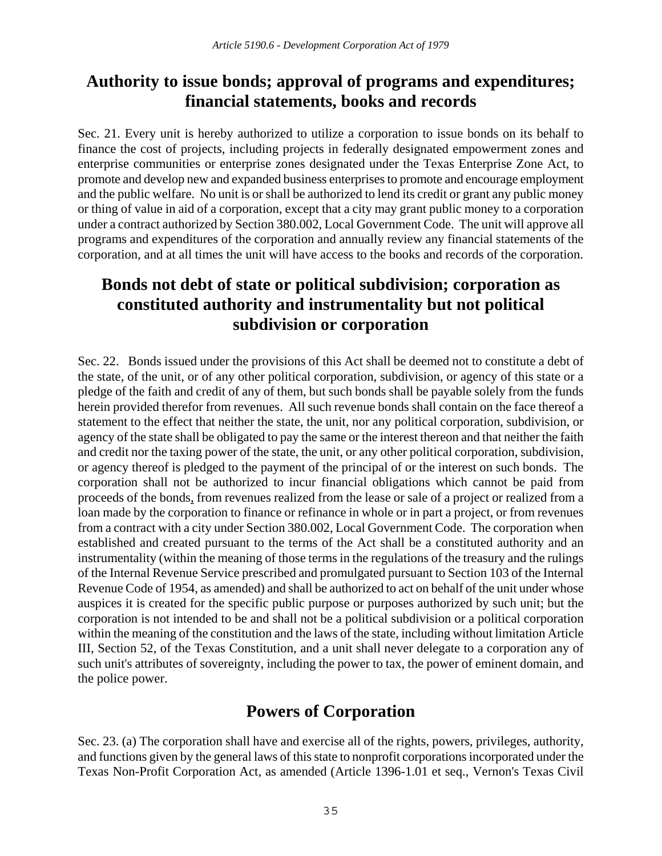## **Authority to issue bonds; approval of programs and expenditures; financial statements, books and records**

Sec. 21. Every unit is hereby authorized to utilize a corporation to issue bonds on its behalf to finance the cost of projects, including projects in federally designated empowerment zones and enterprise communities or enterprise zones designated under the Texas Enterprise Zone Act, to promote and develop new and expanded business enterprises to promote and encourage employment and the public welfare. No unit is or shall be authorized to lend its credit or grant any public money or thing of value in aid of a corporation, except that a city may grant public money to a corporation under a contract authorized by Section 380.002, Local Government Code. The unit will approve all programs and expenditures of the corporation and annually review any financial statements of the corporation, and at all times the unit will have access to the books and records of the corporation.

## **Bonds not debt of state or political subdivision; corporation as constituted authority and instrumentality but not political subdivision or corporation**

Sec. 22. Bonds issued under the provisions of this Act shall be deemed not to constitute a debt of the state, of the unit, or of any other political corporation, subdivision, or agency of this state or a pledge of the faith and credit of any of them, but such bonds shall be payable solely from the funds herein provided therefor from revenues. All such revenue bonds shall contain on the face thereof a statement to the effect that neither the state, the unit, nor any political corporation, subdivision, or agency of the state shall be obligated to pay the same or the interest thereon and that neither the faith and credit nor the taxing power of the state, the unit, or any other political corporation, subdivision, or agency thereof is pledged to the payment of the principal of or the interest on such bonds. The corporation shall not be authorized to incur financial obligations which cannot be paid from proceeds of the bonds, from revenues realized from the lease or sale of a project or realized from a loan made by the corporation to finance or refinance in whole or in part a project, or from revenues from a contract with a city under Section 380.002, Local Government Code. The corporation when established and created pursuant to the terms of the Act shall be a constituted authority and an instrumentality (within the meaning of those terms in the regulations of the treasury and the rulings of the Internal Revenue Service prescribed and promulgated pursuant to Section 103 of the Internal Revenue Code of 1954, as amended) and shall be authorized to act on behalf of the unit under whose auspices it is created for the specific public purpose or purposes authorized by such unit; but the corporation is not intended to be and shall not be a political subdivision or a political corporation within the meaning of the constitution and the laws of the state, including without limitation Article III, Section 52, of the Texas Constitution, and a unit shall never delegate to a corporation any of such unit's attributes of sovereignty, including the power to tax, the power of eminent domain, and the police power.

## **Powers of Corporation**

Sec. 23. (a) The corporation shall have and exercise all of the rights, powers, privileges, authority, and functions given by the general laws of this state to nonprofit corporations incorporated under the Texas Non-Profit Corporation Act, as amended (Article 1396-1.01 et seq., Vernon's Texas Civil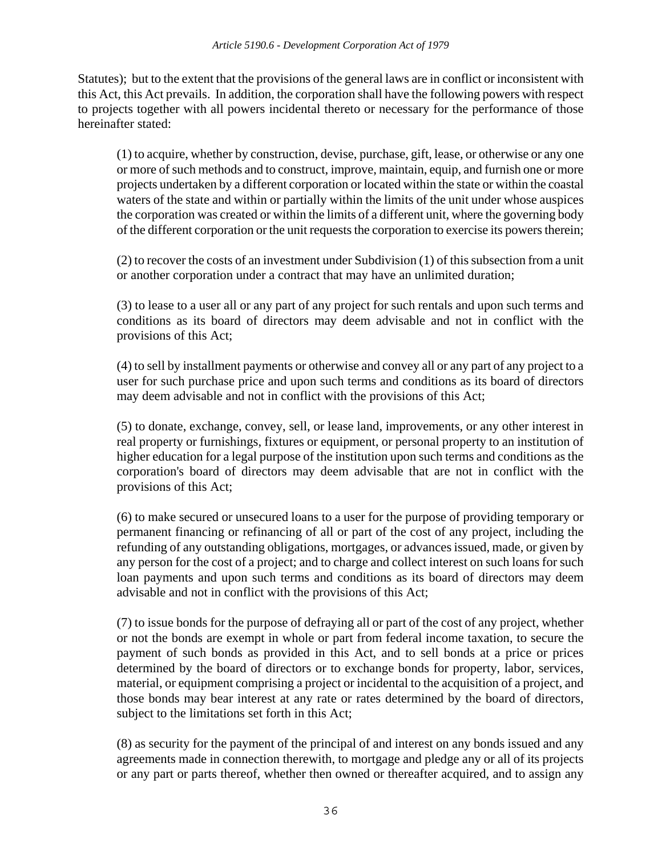Statutes); but to the extent that the provisions of the general laws are in conflict or inconsistent with this Act, this Act prevails. In addition, the corporation shall have the following powers with respect to projects together with all powers incidental thereto or necessary for the performance of those hereinafter stated:

(1) to acquire, whether by construction, devise, purchase, gift, lease, or otherwise or any one or more of such methods and to construct, improve, maintain, equip, and furnish one or more projects undertaken by a different corporation or located within the state or within the coastal waters of the state and within or partially within the limits of the unit under whose auspices the corporation was created or within the limits of a different unit, where the governing body of the different corporation or the unit requests the corporation to exercise its powers therein;

(2) to recover the costs of an investment under Subdivision (1) of this subsection from a unit or another corporation under a contract that may have an unlimited duration;

(3) to lease to a user all or any part of any project for such rentals and upon such terms and conditions as its board of directors may deem advisable and not in conflict with the provisions of this Act;

(4) to sell by installment payments or otherwise and convey all or any part of any project to a user for such purchase price and upon such terms and conditions as its board of directors may deem advisable and not in conflict with the provisions of this Act;

(5) to donate, exchange, convey, sell, or lease land, improvements, or any other interest in real property or furnishings, fixtures or equipment, or personal property to an institution of higher education for a legal purpose of the institution upon such terms and conditions as the corporation's board of directors may deem advisable that are not in conflict with the provisions of this Act;

(6) to make secured or unsecured loans to a user for the purpose of providing temporary or permanent financing or refinancing of all or part of the cost of any project, including the refunding of any outstanding obligations, mortgages, or advances issued, made, or given by any person for the cost of a project; and to charge and collect interest on such loans for such loan payments and upon such terms and conditions as its board of directors may deem advisable and not in conflict with the provisions of this Act;

(7) to issue bonds for the purpose of defraying all or part of the cost of any project, whether or not the bonds are exempt in whole or part from federal income taxation, to secure the payment of such bonds as provided in this Act, and to sell bonds at a price or prices determined by the board of directors or to exchange bonds for property, labor, services, material, or equipment comprising a project or incidental to the acquisition of a project, and those bonds may bear interest at any rate or rates determined by the board of directors, subject to the limitations set forth in this Act;

(8) as security for the payment of the principal of and interest on any bonds issued and any agreements made in connection therewith, to mortgage and pledge any or all of its projects or any part or parts thereof, whether then owned or thereafter acquired, and to assign any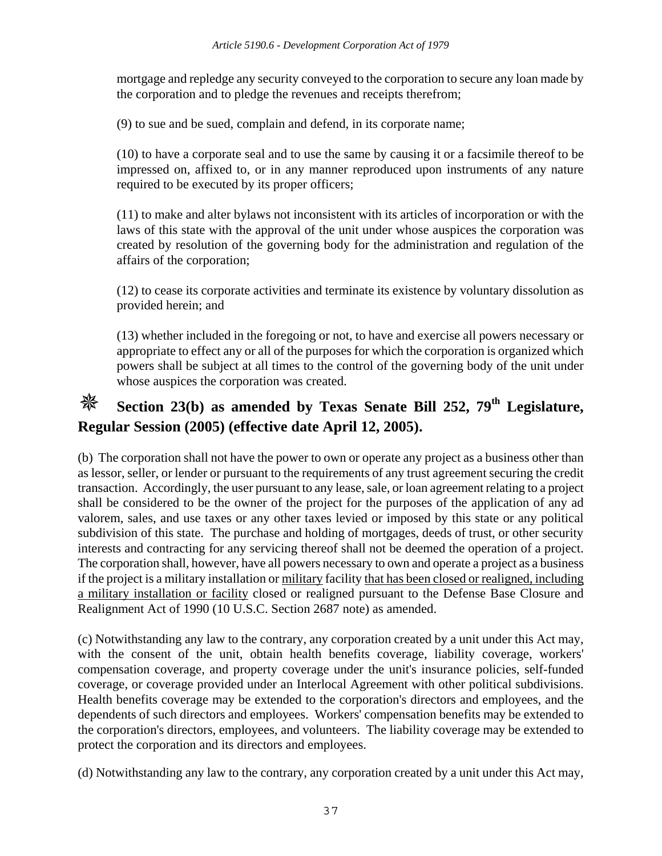mortgage and repledge any security conveyed to the corporation to secure any loan made by the corporation and to pledge the revenues and receipts therefrom;

(9) to sue and be sued, complain and defend, in its corporate name;

(10) to have a corporate seal and to use the same by causing it or a facsimile thereof to be impressed on, affixed to, or in any manner reproduced upon instruments of any nature required to be executed by its proper officers;

(11) to make and alter bylaws not inconsistent with its articles of incorporation or with the laws of this state with the approval of the unit under whose auspices the corporation was created by resolution of the governing body for the administration and regulation of the affairs of the corporation;

(12) to cease its corporate activities and terminate its existence by voluntary dissolution as provided herein; and

(13) whether included in the foregoing or not, to have and exercise all powers necessary or appropriate to effect any or all of the purposes for which the corporation is organized which powers shall be subject at all times to the control of the governing body of the unit under whose auspices the corporation was created.

# **Section 23(b) as amended by Texas Senate Bill 252, 79th Legislature, Regular Session (2005) (effective date April 12, 2005).**

(b) The corporation shall not have the power to own or operate any project as a business other than as lessor, seller, or lender or pursuant to the requirements of any trust agreement securing the credit transaction. Accordingly, the user pursuant to any lease, sale, or loan agreement relating to a project shall be considered to be the owner of the project for the purposes of the application of any ad valorem, sales, and use taxes or any other taxes levied or imposed by this state or any political subdivision of this state. The purchase and holding of mortgages, deeds of trust, or other security interests and contracting for any servicing thereof shall not be deemed the operation of a project. The corporation shall, however, have all powers necessary to own and operate a project as a business if the project is a military installation or military facility that has been closed or realigned, including a military installation or facility closed or realigned pursuant to the Defense Base Closure and Realignment Act of 1990 (10 U.S.C. Section 2687 note) as amended.

(c) Notwithstanding any law to the contrary, any corporation created by a unit under this Act may, with the consent of the unit, obtain health benefits coverage, liability coverage, workers' compensation coverage, and property coverage under the unit's insurance policies, self-funded coverage, or coverage provided under an Interlocal Agreement with other political subdivisions. Health benefits coverage may be extended to the corporation's directors and employees, and the dependents of such directors and employees. Workers' compensation benefits may be extended to the corporation's directors, employees, and volunteers. The liability coverage may be extended to protect the corporation and its directors and employees.

(d) Notwithstanding any law to the contrary, any corporation created by a unit under this Act may,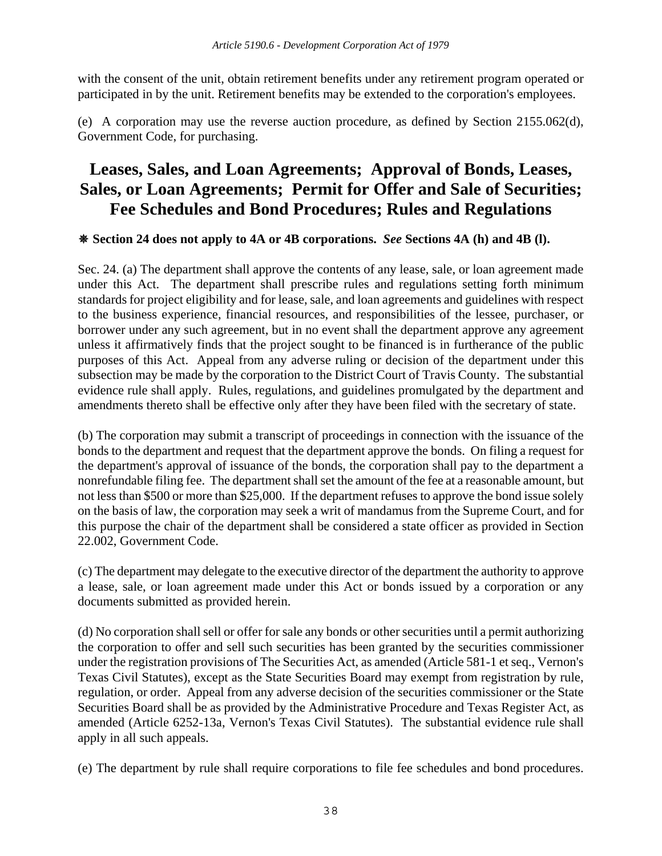with the consent of the unit, obtain retirement benefits under any retirement program operated or participated in by the unit. Retirement benefits may be extended to the corporation's employees.

(e) A corporation may use the reverse auction procedure, as defined by Section 2155.062(d), Government Code, for purchasing.

# **Leases, Sales, and Loan Agreements; Approval of Bonds, Leases, Sales, or Loan Agreements; Permit for Offer and Sale of Securities; Fee Schedules and Bond Procedures; Rules and Regulations**

#### **Section 24 does not apply to 4A or 4B corporations.** *See* **Sections 4A (h) and 4B (l).**

Sec. 24. (a) The department shall approve the contents of any lease, sale, or loan agreement made under this Act. The department shall prescribe rules and regulations setting forth minimum standards for project eligibility and for lease, sale, and loan agreements and guidelines with respect to the business experience, financial resources, and responsibilities of the lessee, purchaser, or borrower under any such agreement, but in no event shall the department approve any agreement unless it affirmatively finds that the project sought to be financed is in furtherance of the public purposes of this Act. Appeal from any adverse ruling or decision of the department under this subsection may be made by the corporation to the District Court of Travis County. The substantial evidence rule shall apply. Rules, regulations, and guidelines promulgated by the department and amendments thereto shall be effective only after they have been filed with the secretary of state.

(b) The corporation may submit a transcript of proceedings in connection with the issuance of the bonds to the department and request that the department approve the bonds. On filing a request for the department's approval of issuance of the bonds, the corporation shall pay to the department a nonrefundable filing fee. The department shall set the amount of the fee at a reasonable amount, but not less than \$500 or more than \$25,000. If the department refuses to approve the bond issue solely on the basis of law, the corporation may seek a writ of mandamus from the Supreme Court, and for this purpose the chair of the department shall be considered a state officer as provided in Section 22.002, Government Code.

(c) The department may delegate to the executive director of the department the authority to approve a lease, sale, or loan agreement made under this Act or bonds issued by a corporation or any documents submitted as provided herein.

(d) No corporation shall sell or offer for sale any bonds or other securities until a permit authorizing the corporation to offer and sell such securities has been granted by the securities commissioner under the registration provisions of The Securities Act, as amended (Article 581-1 et seq., Vernon's Texas Civil Statutes), except as the State Securities Board may exempt from registration by rule, regulation, or order. Appeal from any adverse decision of the securities commissioner or the State Securities Board shall be as provided by the Administrative Procedure and Texas Register Act, as amended (Article 6252-13a, Vernon's Texas Civil Statutes). The substantial evidence rule shall apply in all such appeals.

(e) The department by rule shall require corporations to file fee schedules and bond procedures.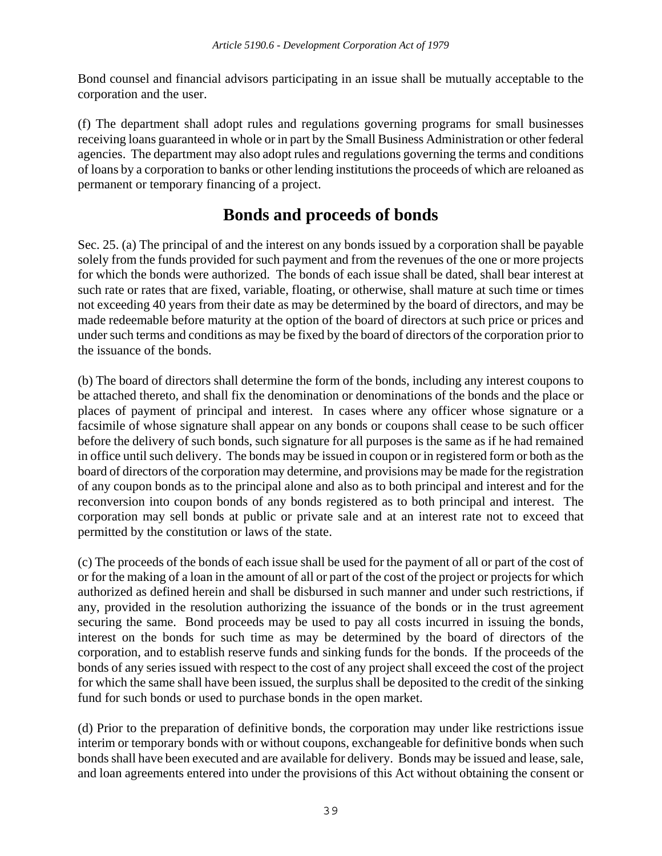Bond counsel and financial advisors participating in an issue shall be mutually acceptable to the corporation and the user.

(f) The department shall adopt rules and regulations governing programs for small businesses receiving loans guaranteed in whole or in part by the Small Business Administration or other federal agencies. The department may also adopt rules and regulations governing the terms and conditions of loans by a corporation to banks or other lending institutions the proceeds of which are reloaned as permanent or temporary financing of a project.

## **Bonds and proceeds of bonds**

Sec. 25. (a) The principal of and the interest on any bonds issued by a corporation shall be payable solely from the funds provided for such payment and from the revenues of the one or more projects for which the bonds were authorized. The bonds of each issue shall be dated, shall bear interest at such rate or rates that are fixed, variable, floating, or otherwise, shall mature at such time or times not exceeding 40 years from their date as may be determined by the board of directors, and may be made redeemable before maturity at the option of the board of directors at such price or prices and under such terms and conditions as may be fixed by the board of directors of the corporation prior to the issuance of the bonds.

(b) The board of directors shall determine the form of the bonds, including any interest coupons to be attached thereto, and shall fix the denomination or denominations of the bonds and the place or places of payment of principal and interest. In cases where any officer whose signature or a facsimile of whose signature shall appear on any bonds or coupons shall cease to be such officer before the delivery of such bonds, such signature for all purposes is the same as if he had remained in office until such delivery. The bonds may be issued in coupon or in registered form or both as the board of directors of the corporation may determine, and provisions may be made for the registration of any coupon bonds as to the principal alone and also as to both principal and interest and for the reconversion into coupon bonds of any bonds registered as to both principal and interest. The corporation may sell bonds at public or private sale and at an interest rate not to exceed that permitted by the constitution or laws of the state.

(c) The proceeds of the bonds of each issue shall be used for the payment of all or part of the cost of or for the making of a loan in the amount of all or part of the cost of the project or projects for which authorized as defined herein and shall be disbursed in such manner and under such restrictions, if any, provided in the resolution authorizing the issuance of the bonds or in the trust agreement securing the same. Bond proceeds may be used to pay all costs incurred in issuing the bonds, interest on the bonds for such time as may be determined by the board of directors of the corporation, and to establish reserve funds and sinking funds for the bonds. If the proceeds of the bonds of any series issued with respect to the cost of any project shall exceed the cost of the project for which the same shall have been issued, the surplus shall be deposited to the credit of the sinking fund for such bonds or used to purchase bonds in the open market.

(d) Prior to the preparation of definitive bonds, the corporation may under like restrictions issue interim or temporary bonds with or without coupons, exchangeable for definitive bonds when such bonds shall have been executed and are available for delivery. Bonds may be issued and lease, sale, and loan agreements entered into under the provisions of this Act without obtaining the consent or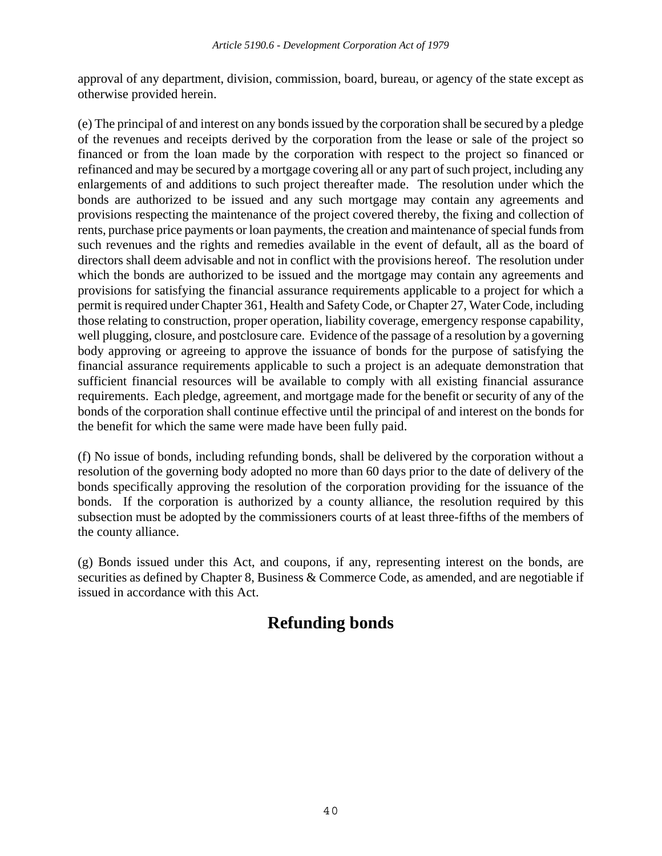approval of any department, division, commission, board, bureau, or agency of the state except as otherwise provided herein.

(e) The principal of and interest on any bonds issued by the corporation shall be secured by a pledge of the revenues and receipts derived by the corporation from the lease or sale of the project so financed or from the loan made by the corporation with respect to the project so financed or refinanced and may be secured by a mortgage covering all or any part of such project, including any enlargements of and additions to such project thereafter made. The resolution under which the bonds are authorized to be issued and any such mortgage may contain any agreements and provisions respecting the maintenance of the project covered thereby, the fixing and collection of rents, purchase price payments or loan payments, the creation and maintenance of special funds from such revenues and the rights and remedies available in the event of default, all as the board of directors shall deem advisable and not in conflict with the provisions hereof. The resolution under which the bonds are authorized to be issued and the mortgage may contain any agreements and provisions for satisfying the financial assurance requirements applicable to a project for which a permit is required under Chapter 361, Health and Safety Code, or Chapter 27, Water Code, including those relating to construction, proper operation, liability coverage, emergency response capability, well plugging, closure, and postclosure care. Evidence of the passage of a resolution by a governing body approving or agreeing to approve the issuance of bonds for the purpose of satisfying the financial assurance requirements applicable to such a project is an adequate demonstration that sufficient financial resources will be available to comply with all existing financial assurance requirements. Each pledge, agreement, and mortgage made for the benefit or security of any of the bonds of the corporation shall continue effective until the principal of and interest on the bonds for the benefit for which the same were made have been fully paid.

(f) No issue of bonds, including refunding bonds, shall be delivered by the corporation without a resolution of the governing body adopted no more than 60 days prior to the date of delivery of the bonds specifically approving the resolution of the corporation providing for the issuance of the bonds. If the corporation is authorized by a county alliance, the resolution required by this subsection must be adopted by the commissioners courts of at least three-fifths of the members of the county alliance.

(g) Bonds issued under this Act, and coupons, if any, representing interest on the bonds, are securities as defined by Chapter 8, Business & Commerce Code, as amended, and are negotiable if issued in accordance with this Act.

# **Refunding bonds**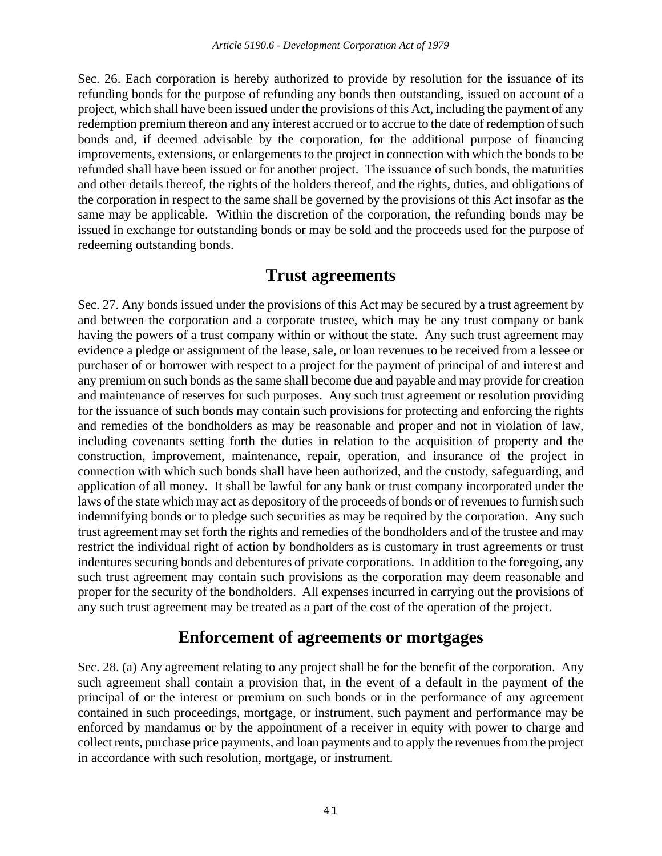Sec. 26. Each corporation is hereby authorized to provide by resolution for the issuance of its refunding bonds for the purpose of refunding any bonds then outstanding, issued on account of a project, which shall have been issued under the provisions of this Act, including the payment of any redemption premium thereon and any interest accrued or to accrue to the date of redemption of such bonds and, if deemed advisable by the corporation, for the additional purpose of financing improvements, extensions, or enlargements to the project in connection with which the bonds to be refunded shall have been issued or for another project. The issuance of such bonds, the maturities and other details thereof, the rights of the holders thereof, and the rights, duties, and obligations of the corporation in respect to the same shall be governed by the provisions of this Act insofar as the same may be applicable. Within the discretion of the corporation, the refunding bonds may be issued in exchange for outstanding bonds or may be sold and the proceeds used for the purpose of redeeming outstanding bonds.

### **Trust agreements**

Sec. 27. Any bonds issued under the provisions of this Act may be secured by a trust agreement by and between the corporation and a corporate trustee, which may be any trust company or bank having the powers of a trust company within or without the state. Any such trust agreement may evidence a pledge or assignment of the lease, sale, or loan revenues to be received from a lessee or purchaser of or borrower with respect to a project for the payment of principal of and interest and any premium on such bonds as the same shall become due and payable and may provide for creation and maintenance of reserves for such purposes. Any such trust agreement or resolution providing for the issuance of such bonds may contain such provisions for protecting and enforcing the rights and remedies of the bondholders as may be reasonable and proper and not in violation of law, including covenants setting forth the duties in relation to the acquisition of property and the construction, improvement, maintenance, repair, operation, and insurance of the project in connection with which such bonds shall have been authorized, and the custody, safeguarding, and application of all money. It shall be lawful for any bank or trust company incorporated under the laws of the state which may act as depository of the proceeds of bonds or of revenues to furnish such indemnifying bonds or to pledge such securities as may be required by the corporation. Any such trust agreement may set forth the rights and remedies of the bondholders and of the trustee and may restrict the individual right of action by bondholders as is customary in trust agreements or trust indentures securing bonds and debentures of private corporations. In addition to the foregoing, any such trust agreement may contain such provisions as the corporation may deem reasonable and proper for the security of the bondholders. All expenses incurred in carrying out the provisions of any such trust agreement may be treated as a part of the cost of the operation of the project.

### **Enforcement of agreements or mortgages**

Sec. 28. (a) Any agreement relating to any project shall be for the benefit of the corporation. Any such agreement shall contain a provision that, in the event of a default in the payment of the principal of or the interest or premium on such bonds or in the performance of any agreement contained in such proceedings, mortgage, or instrument, such payment and performance may be enforced by mandamus or by the appointment of a receiver in equity with power to charge and collect rents, purchase price payments, and loan payments and to apply the revenues from the project in accordance with such resolution, mortgage, or instrument.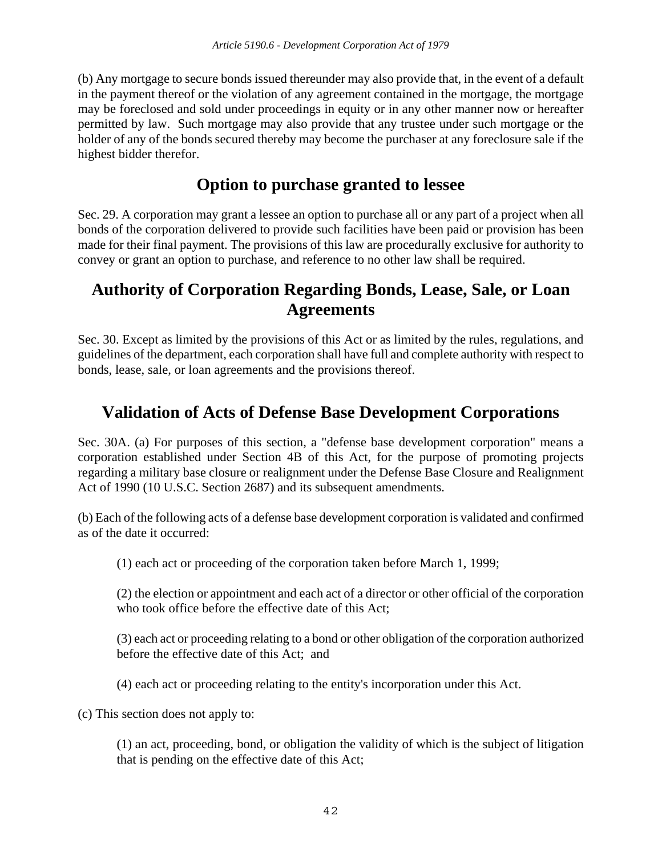(b) Any mortgage to secure bonds issued thereunder may also provide that, in the event of a default in the payment thereof or the violation of any agreement contained in the mortgage, the mortgage may be foreclosed and sold under proceedings in equity or in any other manner now or hereafter permitted by law. Such mortgage may also provide that any trustee under such mortgage or the holder of any of the bonds secured thereby may become the purchaser at any foreclosure sale if the highest bidder therefor.

## **Option to purchase granted to lessee**

Sec. 29. A corporation may grant a lessee an option to purchase all or any part of a project when all bonds of the corporation delivered to provide such facilities have been paid or provision has been made for their final payment. The provisions of this law are procedurally exclusive for authority to convey or grant an option to purchase, and reference to no other law shall be required.

## **Authority of Corporation Regarding Bonds, Lease, Sale, or Loan Agreements**

Sec. 30. Except as limited by the provisions of this Act or as limited by the rules, regulations, and guidelines of the department, each corporation shall have full and complete authority with respect to bonds, lease, sale, or loan agreements and the provisions thereof.

# **Validation of Acts of Defense Base Development Corporations**

Sec. 30A. (a) For purposes of this section, a "defense base development corporation" means a corporation established under Section 4B of this Act, for the purpose of promoting projects regarding a military base closure or realignment under the Defense Base Closure and Realignment Act of 1990 (10 U.S.C. Section 2687) and its subsequent amendments.

(b) Each of the following acts of a defense base development corporation is validated and confirmed as of the date it occurred:

(1) each act or proceeding of the corporation taken before March 1, 1999;

(2) the election or appointment and each act of a director or other official of the corporation who took office before the effective date of this Act;

(3) each act or proceeding relating to a bond or other obligation of the corporation authorized before the effective date of this Act; and

(4) each act or proceeding relating to the entity's incorporation under this Act.

(c) This section does not apply to:

(1) an act, proceeding, bond, or obligation the validity of which is the subject of litigation that is pending on the effective date of this Act;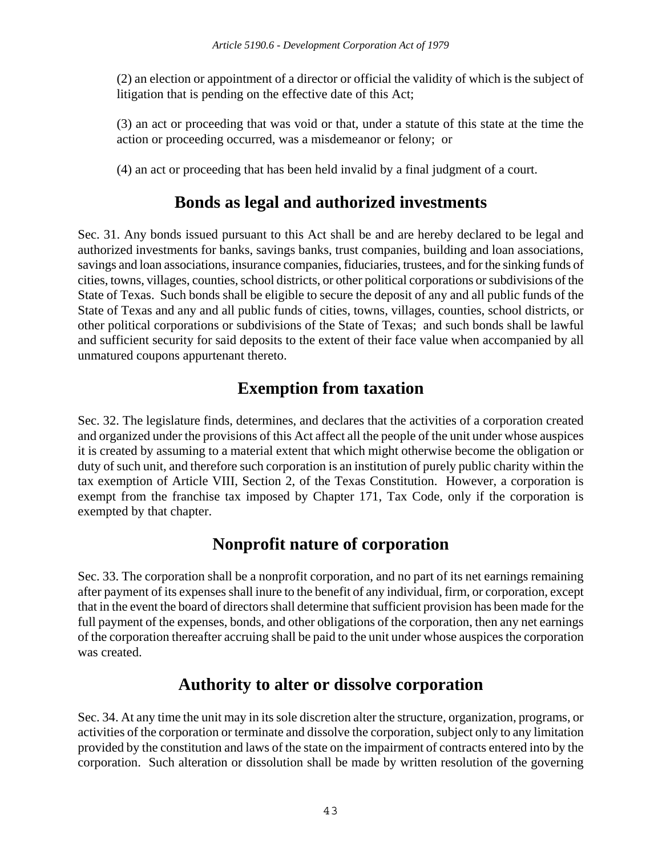(2) an election or appointment of a director or official the validity of which is the subject of litigation that is pending on the effective date of this Act;

(3) an act or proceeding that was void or that, under a statute of this state at the time the action or proceeding occurred, was a misdemeanor or felony; or

(4) an act or proceeding that has been held invalid by a final judgment of a court.

## **Bonds as legal and authorized investments**

Sec. 31. Any bonds issued pursuant to this Act shall be and are hereby declared to be legal and authorized investments for banks, savings banks, trust companies, building and loan associations, savings and loan associations, insurance companies, fiduciaries, trustees, and for the sinking funds of cities, towns, villages, counties, school districts, or other political corporations or subdivisions of the State of Texas. Such bonds shall be eligible to secure the deposit of any and all public funds of the State of Texas and any and all public funds of cities, towns, villages, counties, school districts, or other political corporations or subdivisions of the State of Texas; and such bonds shall be lawful and sufficient security for said deposits to the extent of their face value when accompanied by all unmatured coupons appurtenant thereto.

# **Exemption from taxation**

Sec. 32. The legislature finds, determines, and declares that the activities of a corporation created and organized under the provisions of this Act affect all the people of the unit under whose auspices it is created by assuming to a material extent that which might otherwise become the obligation or duty of such unit, and therefore such corporation is an institution of purely public charity within the tax exemption of Article VIII, Section 2, of the Texas Constitution. However, a corporation is exempt from the franchise tax imposed by Chapter 171, Tax Code, only if the corporation is exempted by that chapter.

## **Nonprofit nature of corporation**

Sec. 33. The corporation shall be a nonprofit corporation, and no part of its net earnings remaining after payment of its expenses shall inure to the benefit of any individual, firm, or corporation, except that in the event the board of directors shall determine that sufficient provision has been made for the full payment of the expenses, bonds, and other obligations of the corporation, then any net earnings of the corporation thereafter accruing shall be paid to the unit under whose auspices the corporation was created.

## **Authority to alter or dissolve corporation**

Sec. 34. At any time the unit may in its sole discretion alter the structure, organization, programs, or activities of the corporation or terminate and dissolve the corporation, subject only to any limitation provided by the constitution and laws of the state on the impairment of contracts entered into by the corporation. Such alteration or dissolution shall be made by written resolution of the governing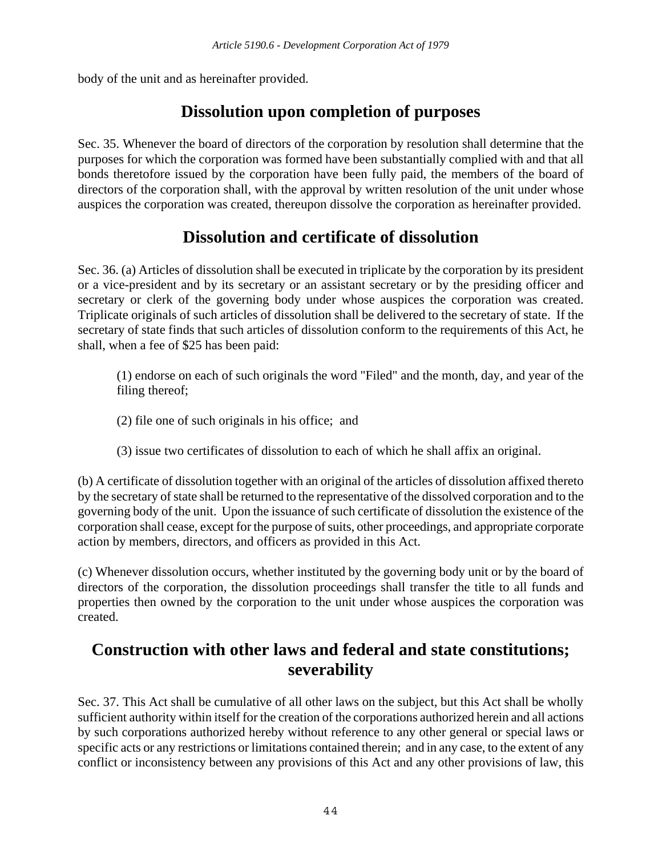body of the unit and as hereinafter provided.

# **Dissolution upon completion of purposes**

Sec. 35. Whenever the board of directors of the corporation by resolution shall determine that the purposes for which the corporation was formed have been substantially complied with and that all bonds theretofore issued by the corporation have been fully paid, the members of the board of directors of the corporation shall, with the approval by written resolution of the unit under whose auspices the corporation was created, thereupon dissolve the corporation as hereinafter provided.

# **Dissolution and certificate of dissolution**

Sec. 36. (a) Articles of dissolution shall be executed in triplicate by the corporation by its president or a vice-president and by its secretary or an assistant secretary or by the presiding officer and secretary or clerk of the governing body under whose auspices the corporation was created. Triplicate originals of such articles of dissolution shall be delivered to the secretary of state. If the secretary of state finds that such articles of dissolution conform to the requirements of this Act, he shall, when a fee of \$25 has been paid:

(1) endorse on each of such originals the word "Filed" and the month, day, and year of the filing thereof;

- (2) file one of such originals in his office; and
- (3) issue two certificates of dissolution to each of which he shall affix an original.

(b) A certificate of dissolution together with an original of the articles of dissolution affixed thereto by the secretary of state shall be returned to the representative of the dissolved corporation and to the governing body of the unit. Upon the issuance of such certificate of dissolution the existence of the corporation shall cease, except for the purpose of suits, other proceedings, and appropriate corporate action by members, directors, and officers as provided in this Act.

(c) Whenever dissolution occurs, whether instituted by the governing body unit or by the board of directors of the corporation, the dissolution proceedings shall transfer the title to all funds and properties then owned by the corporation to the unit under whose auspices the corporation was created.

## **Construction with other laws and federal and state constitutions; severability**

Sec. 37. This Act shall be cumulative of all other laws on the subject, but this Act shall be wholly sufficient authority within itself for the creation of the corporations authorized herein and all actions by such corporations authorized hereby without reference to any other general or special laws or specific acts or any restrictions or limitations contained therein; and in any case, to the extent of any conflict or inconsistency between any provisions of this Act and any other provisions of law, this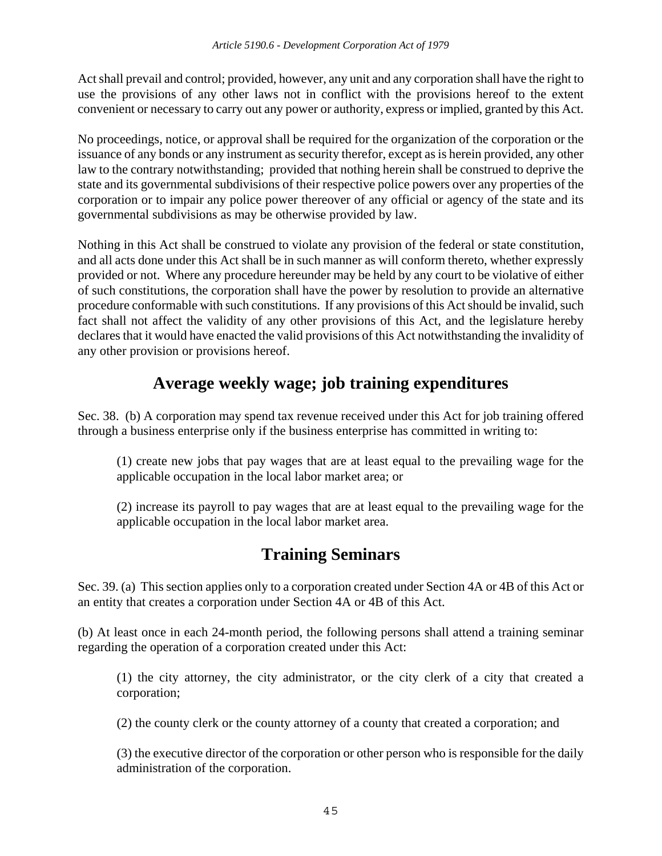Act shall prevail and control; provided, however, any unit and any corporation shall have the right to use the provisions of any other laws not in conflict with the provisions hereof to the extent convenient or necessary to carry out any power or authority, express or implied, granted by this Act.

No proceedings, notice, or approval shall be required for the organization of the corporation or the issuance of any bonds or any instrument as security therefor, except as is herein provided, any other law to the contrary notwithstanding; provided that nothing herein shall be construed to deprive the state and its governmental subdivisions of their respective police powers over any properties of the corporation or to impair any police power thereover of any official or agency of the state and its governmental subdivisions as may be otherwise provided by law.

Nothing in this Act shall be construed to violate any provision of the federal or state constitution, and all acts done under this Act shall be in such manner as will conform thereto, whether expressly provided or not. Where any procedure hereunder may be held by any court to be violative of either of such constitutions, the corporation shall have the power by resolution to provide an alternative procedure conformable with such constitutions. If any provisions of this Act should be invalid, such fact shall not affect the validity of any other provisions of this Act, and the legislature hereby declares that it would have enacted the valid provisions of this Act notwithstanding the invalidity of any other provision or provisions hereof.

## **Average weekly wage; job training expenditures**

Sec. 38. (b) A corporation may spend tax revenue received under this Act for job training offered through a business enterprise only if the business enterprise has committed in writing to:

(1) create new jobs that pay wages that are at least equal to the prevailing wage for the applicable occupation in the local labor market area; or

(2) increase its payroll to pay wages that are at least equal to the prevailing wage for the applicable occupation in the local labor market area.

# **Training Seminars**

Sec. 39. (a) This section applies only to a corporation created under Section 4A or 4B of this Act or an entity that creates a corporation under Section 4A or 4B of this Act.

(b) At least once in each 24-month period, the following persons shall attend a training seminar regarding the operation of a corporation created under this Act:

(1) the city attorney, the city administrator, or the city clerk of a city that created a corporation;

(2) the county clerk or the county attorney of a county that created a corporation; and

(3) the executive director of the corporation or other person who is responsible for the daily administration of the corporation.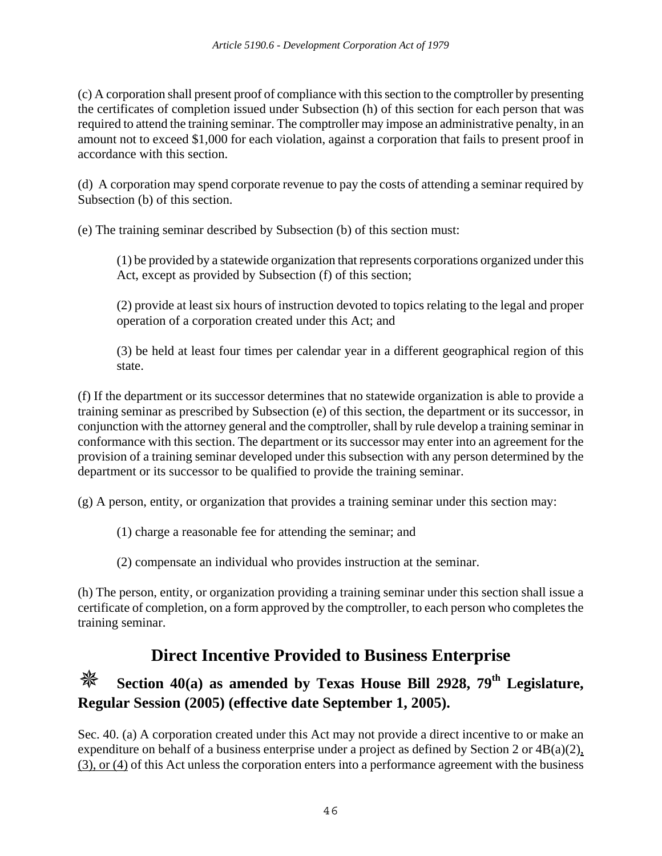(c) A corporation shall present proof of compliance with this section to the comptroller by presenting the certificates of completion issued under Subsection (h) of this section for each person that was required to attend the training seminar. The comptroller may impose an administrative penalty, in an amount not to exceed \$1,000 for each violation, against a corporation that fails to present proof in accordance with this section.

(d) A corporation may spend corporate revenue to pay the costs of attending a seminar required by Subsection (b) of this section.

(e) The training seminar described by Subsection (b) of this section must:

(1) be provided by a statewide organization that represents corporations organized under this Act, except as provided by Subsection (f) of this section;

(2) provide at least six hours of instruction devoted to topics relating to the legal and proper operation of a corporation created under this Act; and

(3) be held at least four times per calendar year in a different geographical region of this state.

(f) If the department or its successor determines that no statewide organization is able to provide a training seminar as prescribed by Subsection (e) of this section, the department or its successor, in conjunction with the attorney general and the comptroller, shall by rule develop a training seminar in conformance with this section. The department or its successor may enter into an agreement for the provision of a training seminar developed under this subsection with any person determined by the department or its successor to be qualified to provide the training seminar.

(g) A person, entity, or organization that provides a training seminar under this section may:

(1) charge a reasonable fee for attending the seminar; and

(2) compensate an individual who provides instruction at the seminar.

(h) The person, entity, or organization providing a training seminar under this section shall issue a certificate of completion, on a form approved by the comptroller, to each person who completes the training seminar.

# **Direct Incentive Provided to Business Enterprise**

# **Section 40(a) as amended by Texas House Bill 2928, 79th Legislature, Regular Session (2005) (effective date September 1, 2005).**

Sec. 40. (a) A corporation created under this Act may not provide a direct incentive to or make an expenditure on behalf of a business enterprise under a project as defined by Section 2 or  $4B(a)(2)$ , (3), or (4) of this Act unless the corporation enters into a performance agreement with the business